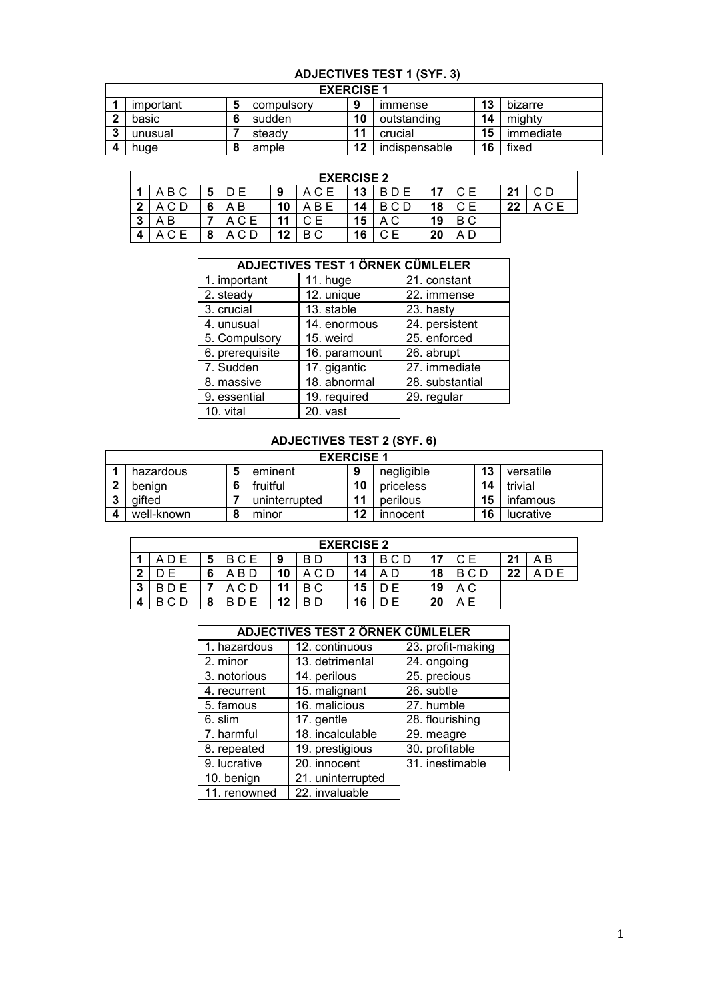# **ADJECTIVES TEST 1 (SYF. 3)**

|   | <b>EXERCISE 1</b> |  |            |    |               |    |           |  |  |  |
|---|-------------------|--|------------|----|---------------|----|-----------|--|--|--|
|   | important         |  | compulsory | 9  | ımmense       | 13 | bizarre   |  |  |  |
|   | basic             |  | sudden     | 10 | outstanding   | 14 | mighty    |  |  |  |
| n | unusual           |  | steady     | 11 | crucial       | 15 | immediate |  |  |  |
|   | huae              |  | ample      | 12 | indispensable | 16 | fixed     |  |  |  |

|   | <b>EXERCISE 2</b> |   |       |    |     |    |            |    |     |    |              |
|---|-------------------|---|-------|----|-----|----|------------|----|-----|----|--------------|
|   | A B C             |   | D E   | 9  |     | 13 | <b>BDE</b> |    | C F | 21 | C D          |
| ົ |                   | 6 | ΑB    | 10 | B E | 14 | BCD        | 18 |     | 22 | $A C \Gamma$ |
| 2 | ΑB                |   | A C E | 44 |     | 15 | A C        | 19 | B C |    |              |
|   | A C E             |   |       | 12 | B C | 16 |            | 20 | ΑC  |    |              |

|                 | <b>ADJECTIVES TEST 1 ÖRNEK CÜMLELER</b> |                 |
|-----------------|-----------------------------------------|-----------------|
| 1. important    | 11. huge                                | 21. constant    |
| 2. steady       | 12. unique                              | 22. immense     |
| 3. crucial      | 13. stable                              | 23. hasty       |
| 4. unusual      | 14. enormous                            | 24. persistent  |
| 5. Compulsory   | 15. weird                               | 25. enforced    |
| 6. prerequisite | 16. paramount                           | 26. abrupt      |
| 7. Sudden       | 17. gigantic                            | 27. immediate   |
| 8. massive      | 18. abnormal                            | 28. substantial |
| 9. essential    | 19. required                            | 29. regular     |
| 10. vital       | 20. vast                                |                 |

## **ADJECTIVES TEST 2 (SYF. 6)**

|   | <b>EXERCISE 1</b> |           |               |    |            |    |           |  |  |  |
|---|-------------------|-----------|---------------|----|------------|----|-----------|--|--|--|
|   | hazardous         |           | eminent       | Ω  | negligible | 13 | versatile |  |  |  |
| ົ | benian            | 6         | fruitful      | 10 | priceless  | 14 | trivial   |  |  |  |
| ≏ | aifted            |           | uninterrupted | 11 | perilous   | 15 | infamous  |  |  |  |
|   | well-known        | $\bullet$ | minor         | 12 | innocent   | 16 | lucrative |  |  |  |

|        | <b>EXERCISE 2</b> |        |       |    |     |    |        |    |     |    |     |
|--------|-------------------|--------|-------|----|-----|----|--------|----|-----|----|-----|
|        |                   | 5      | BCE   | 9  | B D | 13 | B C D  |    | C E | 21 | A B |
| - 2    |                   | 6      | . B D | 10 |     | 14 | D<br>A | 18 | BCD | 22 |     |
| 2<br>◡ |                   |        | C D   | 11 | ВC  | 15 | E      | 19 | A C |    |     |
|        |                   | о<br>o | D E   | 12 | B D | 16 |        | 20 |     |    |     |

|              | <b>ADJECTIVES TEST 2 ÖRNEK CÜMLELER</b> |                   |
|--------------|-----------------------------------------|-------------------|
| 1. hazardous | 12. continuous                          | 23. profit-making |
| 2. minor     | 13. detrimental                         | 24. ongoing       |
| 3. notorious | 14. perilous                            | 25. precious      |
| 4. recurrent | 15. malignant                           | 26. subtle        |
| 5. famous    | 16. malicious                           | 27. humble        |
| 6. slim      | 17. gentle                              | 28. flourishing   |
| 7. harmful   | 18. incalculable                        | 29. meagre        |
| 8. repeated  | 19. prestigious                         | 30. profitable    |
| 9. lucrative | 20. innocent                            | 31. inestimable   |
| 10. benign   | 21. uninterrupted                       |                   |
| 11. renowned | 22. invaluable                          |                   |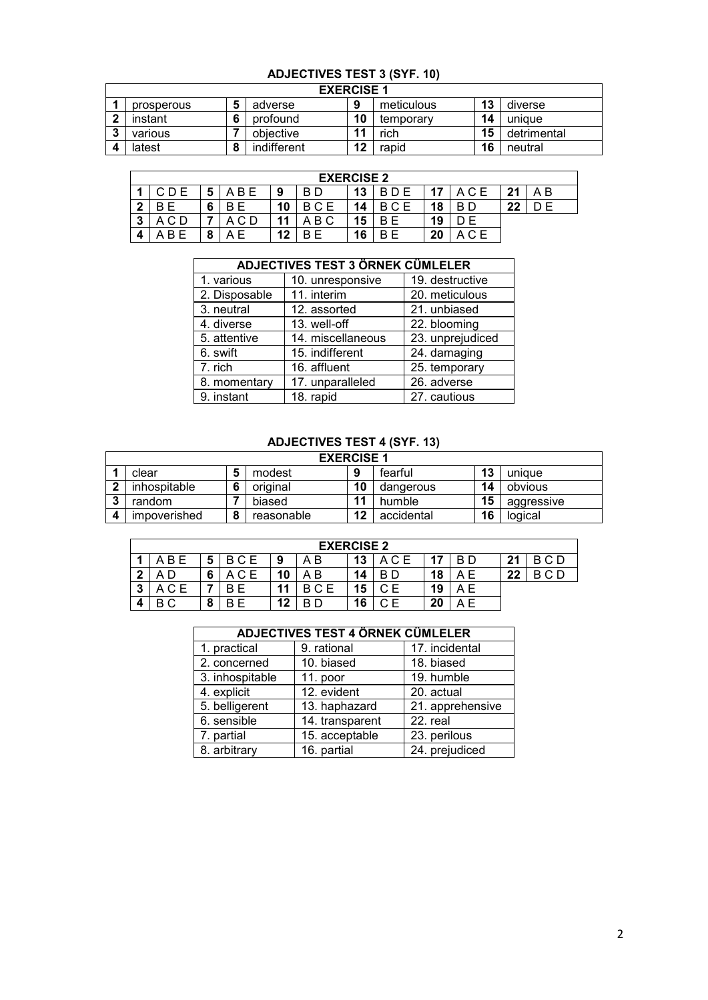#### **ADJECTIVES TEST 3 (SYF. 10)**

|        | <b>EXERCISE 1</b> |  |             |    |            |    |             |  |  |  |
|--------|-------------------|--|-------------|----|------------|----|-------------|--|--|--|
|        | prosperous        |  | adverse     | ο  | meticulous | 13 | diverse     |  |  |  |
|        | instant           |  | profound    | 10 | temporary  | 14 | uniaue      |  |  |  |
| n<br>w | various           |  | objective   | 11 | rich       | 15 | detrimental |  |  |  |
|        | latest            |  | indifferent | 12 | rapid      | 16 | neutral     |  |  |  |

|   | <b>EXERCISE 2</b> |   |       |    |     |    |            |     |     |    |    |
|---|-------------------|---|-------|----|-----|----|------------|-----|-----|----|----|
|   |                   | 5 | A B E | 9  | B D | 13 | <b>BDE</b> |     |     | 21 | ΑB |
| າ |                   | 6 |       | 10 | BCE | 14 |            | -19 |     | 22 |    |
| ິ | ACD               |   | C D   | 44 | B C | 15 | BЕ         | 19  |     |    |    |
|   | R F               | o | ΑF    | 12 |     | 16 | F<br>B.    | 20  | C F |    |    |

|               | <b>ADJECTIVES TEST 3 ÖRNEK CÜMLELER</b> |                  |  |  |  |  |  |  |  |  |
|---------------|-----------------------------------------|------------------|--|--|--|--|--|--|--|--|
| 1. various    | 10. unresponsive                        | 19. destructive  |  |  |  |  |  |  |  |  |
| 2. Disposable | 11. interim                             | 20. meticulous   |  |  |  |  |  |  |  |  |
| 3. neutral    | 12. assorted                            | 21. unbiased     |  |  |  |  |  |  |  |  |
| 4. diverse    | 13. well-off                            | 22. blooming     |  |  |  |  |  |  |  |  |
| 5. attentive  | 14. miscellaneous                       | 23. unprejudiced |  |  |  |  |  |  |  |  |
| 6. swift      | 15. indifferent                         | 24. damaging     |  |  |  |  |  |  |  |  |
| 7. rich       | 16. affluent                            | 25. temporary    |  |  |  |  |  |  |  |  |
| 8. momentary  | 17. unparalleled                        | 26. adverse      |  |  |  |  |  |  |  |  |
| 9. instant    | 18. rapid                               | 27. cautious     |  |  |  |  |  |  |  |  |

## **ADJECTIVES TEST 4 (SYF. 13)**

| <b>EXERCISE 1</b> |              |   |            |    |            |    |            |  |  |
|-------------------|--------------|---|------------|----|------------|----|------------|--|--|
|                   | clear        |   | modest     | 9  | fearful    | 13 | unique     |  |  |
| ◠                 | inhospitable |   | original   | 10 | dangerous  | 14 | obvious    |  |  |
| ≏                 | random       |   | biased     | 11 | humble     | 15 | aggressive |  |  |
|                   | impoverished | o | reasonable | 12 | accidental | 16 | logical    |  |  |

|         | <b>EXERCISE 2</b> |        |            |    |     |    |           |    |     |    |          |
|---------|-------------------|--------|------------|----|-----|----|-----------|----|-----|----|----------|
|         | B E               | 5      | <b>BCE</b> |    | ΑB  | 13 | .C E<br>A |    | B D | 21 | B C D    |
| C<br>ــ |                   | 6      | ACE        | 10 | ΑB  | 14 | B D       | 18 | AΕ  | 22 | C D<br>В |
| 3       | ACE               |        | R          | 11 | BCE | 15 | CЕ        | 19 | AΕ  |    |          |
| 4       | ВC                | О<br>О | B F        | 12 | R D | 16 | CЕ        | 20 |     |    |          |

|                 | <b>ADJECTIVES TEST 4 ÖRNEK CÜMLELER</b> |                  |  |  |  |  |
|-----------------|-----------------------------------------|------------------|--|--|--|--|
| 1. practical    | 9. rational                             | 17. incidental   |  |  |  |  |
| 2. concerned    | 10. biased                              | 18. biased       |  |  |  |  |
| 3. inhospitable | 11. poor                                | 19. humble       |  |  |  |  |
| 4. explicit     | $\overline{12}$ . evident               | 20. actual       |  |  |  |  |
| 5. belligerent  | 13. haphazard                           | 21. apprehensive |  |  |  |  |
| 6. sensible     | 14. transparent                         | 22. real         |  |  |  |  |
| 7. partial      | 15. acceptable                          | 23. perilous     |  |  |  |  |
| 8. arbitrary    | 16. partial                             | 24. prejudiced   |  |  |  |  |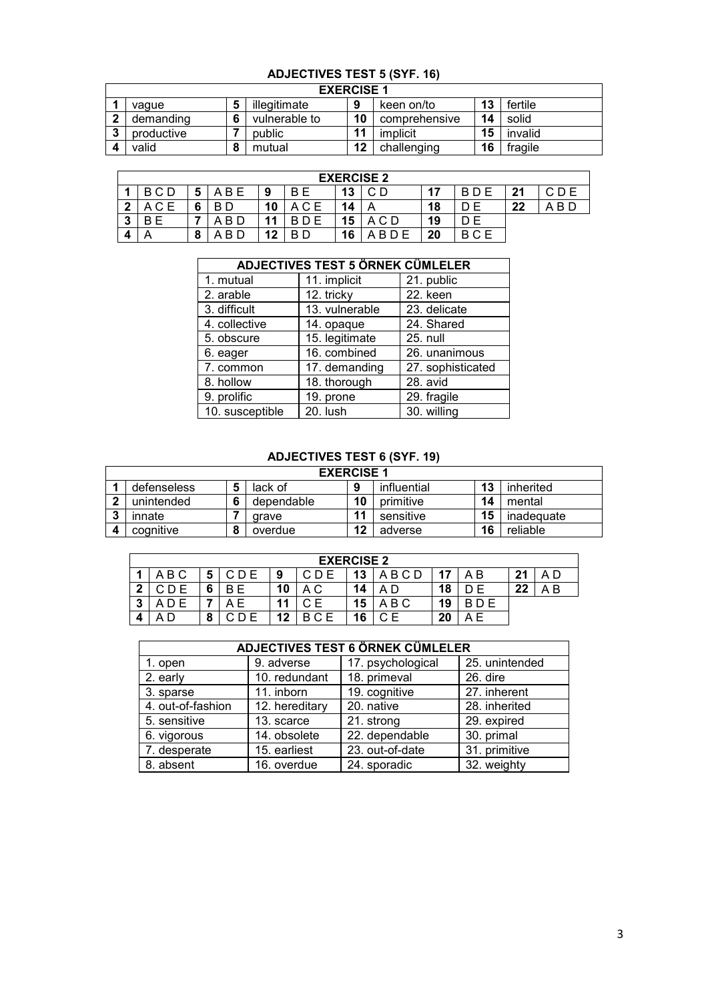#### **ADJECTIVES TEST 5 (SYF. 16)**

|   | <b>EXERCISE 1</b> |   |               |    |               |    |         |  |  |  |  |
|---|-------------------|---|---------------|----|---------------|----|---------|--|--|--|--|
|   | vague             | Ð | illegitimate  | 9  | keen on/to    | 13 | fertile |  |  |  |  |
|   | demanding         |   | vulnerable to | 10 | comprehensive | 14 | solid   |  |  |  |  |
| ◠ | productive        |   | public        | 11 | implicit      | 15 | invalid |  |  |  |  |
|   | valid             |   | mutual        | 12 | challenging   | 16 | fragile |  |  |  |  |

|         | <b>EXERCISE 2</b> |                          |       |    |       |    |            |    |          |     |           |
|---------|-------------------|--------------------------|-------|----|-------|----|------------|----|----------|-----|-----------|
|         | BCD               | Ð                        | A B E | 9  | B E   | 13 | ◡◡         | 17 | B<br>D E | -94 |           |
| ◠       | A C E             | 6                        | B D   | 10 | A C E | 14 |            | 18 | E        | 22  | -B D<br>А |
| າ<br>٠J | ΒE                |                          | -B D  | 11 | В     | 15 | A C D      | 19 | D E      |     |           |
|         |                   | $\bullet$<br>$\mathbf o$ | B D   | 12 | B D   | 16 | <b>BDF</b> | 20 | BCE      |     |           |

|                 | <b>ADJECTIVES TEST 5 ÖRNEK CÜMLELER</b> |                   |
|-----------------|-----------------------------------------|-------------------|
| 1. mutual       | 11. implicit                            | 21. public        |
| 2. arable       | 12. tricky                              | 22. keen          |
| 3. difficult    | 13. vulnerable                          | 23. delicate      |
| 4. collective   | 14. opaque                              | 24. Shared        |
| 5. obscure      | 15. legitimate                          | 25. null          |
| 6. eager        | 16. combined                            | 26. unanimous     |
| 7. common       | 17. demanding                           | 27. sophisticated |
| 8. hollow       | 18. thorough                            | 28. avid          |
| 9. prolific     | 19. prone                               | 29. fragile       |
| 10. susceptible | 20. lush                                | 30. willing       |

## **ADJECTIVES TEST 6 (SYF. 19)**

|              | <b>EXERCISE 1</b> |           |            |    |             |    |            |  |  |  |  |
|--------------|-------------------|-----------|------------|----|-------------|----|------------|--|--|--|--|
|              | defenseless       |           | lack of    | 9  | influential | 13 | inherited  |  |  |  |  |
| $\mathbf{r}$ | unintended        | 6         | dependable | 10 | primitive   | 14 | mental     |  |  |  |  |
| 3            | innate            |           | arave      | 11 | sensitive   | 15 | inadequate |  |  |  |  |
|              | cognitive         | $\bullet$ | overdue    | 12 | adverse     | 16 | reliable   |  |  |  |  |

|         | <b>EXERCISE 2</b> |        |     |    |     |    |       |    |        |          |    |
|---------|-------------------|--------|-----|----|-----|----|-------|----|--------|----------|----|
|         | A B C             | Ð      | CDE | 9  |     | 13 | ABCD  |    | A B    | -94      | AΓ |
| າ       |                   | 6      |     | 10 | ΑC  | 14 |       | 18 |        | クク<br>LL | ΑB |
| ,<br>٠J |                   |        |     | 44 |     | 15 | A B C | 19 | D E    |          |    |
| 4       |                   | ິ<br>a | ≘⊓≏ | 12 | BCE | 16 |       | 20 | Е<br>А |          |    |

|                   | <b>ADJECTIVES TEST 6 ÖRNEK CÜMLELER</b> |                   |                |  |  |  |  |  |  |  |  |
|-------------------|-----------------------------------------|-------------------|----------------|--|--|--|--|--|--|--|--|
| 1. open           | 9. adverse                              | 17. psychological | 25. unintended |  |  |  |  |  |  |  |  |
| 2. early          | 10. redundant                           | 18. primeval      | 26. dire       |  |  |  |  |  |  |  |  |
| 3. sparse         | 11. inborn                              | 19. cognitive     | 27. inherent   |  |  |  |  |  |  |  |  |
| 4. out-of-fashion | 12. hereditary                          | 20. native        | 28. inherited  |  |  |  |  |  |  |  |  |
| 5. sensitive      | 13. scarce                              | 21. strong        | 29. expired    |  |  |  |  |  |  |  |  |
| 6. vigorous       | 14. obsolete                            | 22. dependable    | 30. primal     |  |  |  |  |  |  |  |  |
| 7. desperate      | 15. earliest                            | 23. out-of-date   | 31. primitive  |  |  |  |  |  |  |  |  |
| 8. absent         | 16. overdue                             | 24. sporadic      | 32. weighty    |  |  |  |  |  |  |  |  |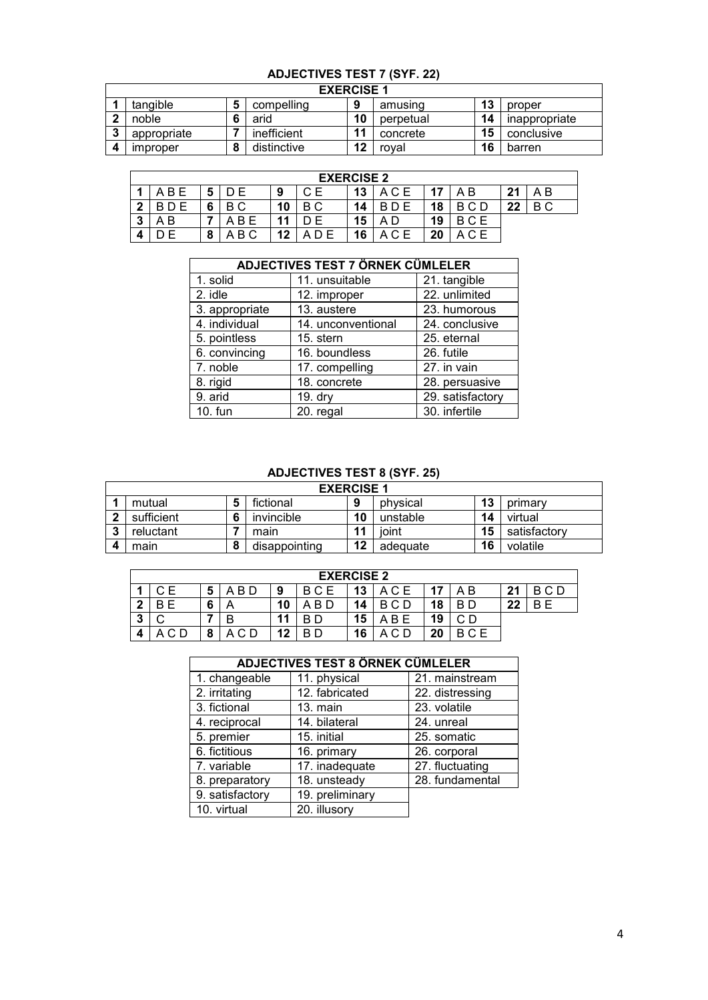# **ADJECTIVES TEST 7 (SYF. 22)**

|   | <b>EXERCISE 1</b>      |   |             |    |           |    |               |  |  |  |  |
|---|------------------------|---|-------------|----|-----------|----|---------------|--|--|--|--|
|   | tangible               |   | compelling  | 9  | amusing   | 13 | proper        |  |  |  |  |
| c | noble                  |   | arid        | 10 | perpetual | 14 | inappropriate |  |  |  |  |
| n | appropriate            |   | inefficient | 11 | concrete  | 15 | conclusive    |  |  |  |  |
|   | <i><b>Improper</b></i> | o | distinctive | 12 | roval     | 16 | barren        |  |  |  |  |

|        | <b>EXERCISE 2</b> |   |       |    |    |    |       |     |     |    |     |
|--------|-------------------|---|-------|----|----|----|-------|-----|-----|----|-----|
|        | ABF               | o |       | 9  | CЕ | 13 | A C E | -47 | A B | 21 | A B |
| າ      |                   | 6 | ВC    | 10 | ВC | 14 |       | 18  |     | 22 | B C |
| າ<br>ν | AВ                |   | A B E |    |    | 15 | D     | 19  | BCE |    |     |
|        |                   | a | B C   | 12 |    | 16 |       | 20  |     |    |     |

|                | ADJECTIVES TEST 7 ÖRNEK CÜMLELER |                  |
|----------------|----------------------------------|------------------|
| 1. solid       | 11. unsuitable                   | 21. tangible     |
| 2. idle        | 12. improper                     | 22. unlimited    |
| 3. appropriate | 13. austere                      | 23. humorous     |
| 4. individual  | 14. unconventional               | 24. conclusive   |
| 5. pointless   | 15. stern                        | 25. eternal      |
| 6. convincing  | 16. boundless                    | 26. futile       |
| 7. noble       | 17. compelling                   | 27. in vain      |
| 8. rigid       | 18. concrete                     | 28. persuasive   |
| 9. arid        | 19. dry                          | 29. satisfactory |
| 10. fun        | 20. regal                        | 30. infertile    |

#### **ADJECTIVES TEST 8 (SYF. 25)**

|           | <b>EXERCISE 1</b> |   |               |    |          |    |              |  |  |  |  |
|-----------|-------------------|---|---------------|----|----------|----|--------------|--|--|--|--|
|           | mutual            |   | fictional     | 9  | physical | 13 | primary      |  |  |  |  |
|           | sufficient        | 6 | invincible    | 10 | unstable | 14 | virtual      |  |  |  |  |
| $\bullet$ | reluctant         |   | main          | 11 | ioint    | 15 | satisfactory |  |  |  |  |
|           | main              |   | disappointing | 12 | adequate | 16 | volatile     |  |  |  |  |

|   | <b>EXERCISE 2</b> |   |           |    |                   |    |            |    |     |    |          |
|---|-------------------|---|-----------|----|-------------------|----|------------|----|-----|----|----------|
|   | CЕ                | 5 | -B D<br>А | 9  | <b>BCE</b>        | 13 | . C E<br>A |    | ΑB  | 21 | C D<br>В |
| ◠ |                   |   |           | 10 | B<br>$\mathbf{v}$ | 14 | B<br>C D   | 18 | B D | 22 | R F      |
| ν |                   |   |           | 44 |                   | 15 | B<br>А     | 19 |     |    |          |
| Δ |                   | п | C D       | 12 | B D               | 16 | D          | 20 | BCE |    |          |

|                 | ADJECTIVES TEST 8 ORNER COMLELER |                 |  |  |  |  |  |  |  |  |  |
|-----------------|----------------------------------|-----------------|--|--|--|--|--|--|--|--|--|
| 1. changeable   | 11. physical                     | 21. mainstream  |  |  |  |  |  |  |  |  |  |
| 2. irritating   | 12. fabricated                   | 22. distressing |  |  |  |  |  |  |  |  |  |
| 3. fictional    | $13.$ main                       | 23. volatile    |  |  |  |  |  |  |  |  |  |
| 4. reciprocal   | 14. bilateral                    | 24. unreal      |  |  |  |  |  |  |  |  |  |
| 5. premier      | 15. initial                      | 25. somatic     |  |  |  |  |  |  |  |  |  |
| 6. fictitious   | 16. primary                      | 26. corporal    |  |  |  |  |  |  |  |  |  |
| 7. variable     | 17. inadequate                   | 27. fluctuating |  |  |  |  |  |  |  |  |  |
| 8. preparatory  | 18. unsteady                     | 28. fundamental |  |  |  |  |  |  |  |  |  |
| 9. satisfactory | 19. preliminary                  |                 |  |  |  |  |  |  |  |  |  |
| 10. virtual     | 20. illusory                     |                 |  |  |  |  |  |  |  |  |  |

## **ADJECTIVES TEST 8 ÖRNEK CÜMLELER**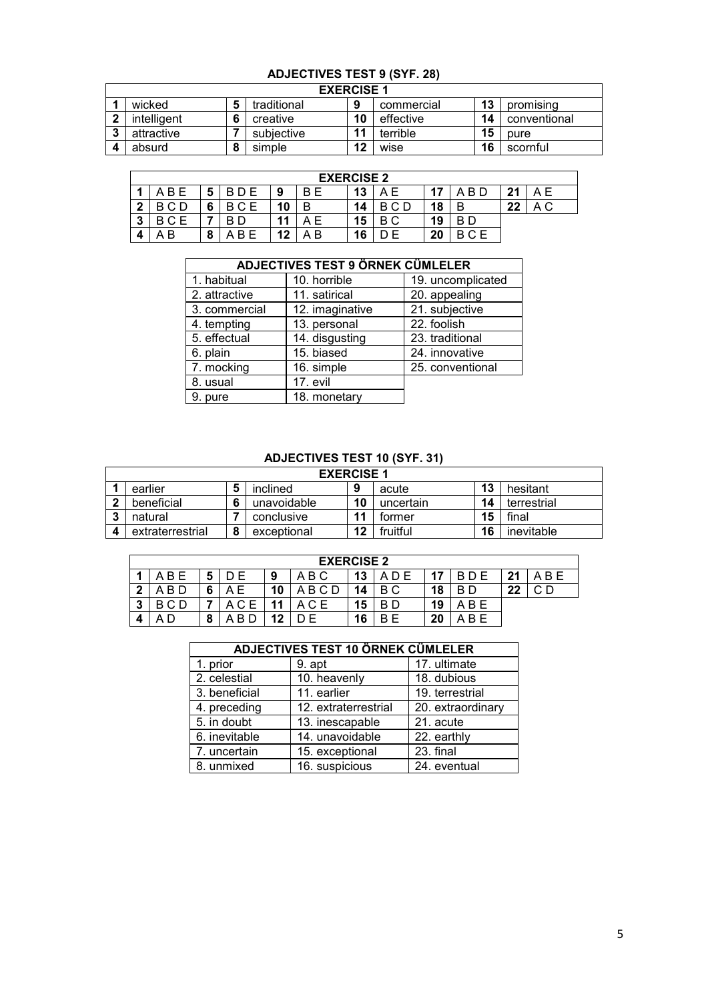#### **ADJECTIVES TEST 9 (SYF. 28)**

| <b>EXERCISE 1</b> |  |             |    |            |    |              |  |  |  |
|-------------------|--|-------------|----|------------|----|--------------|--|--|--|
| wicked            |  | traditional | a  | commercial | 13 | promising    |  |  |  |
| intelligent       |  | creative    | 10 | effective  | 14 | conventional |  |  |  |
| attractive        |  | subjective  | 11 | terrible   | 15 | pure         |  |  |  |
| absurd            |  | simple      | 12 | wise       | 16 | scornful     |  |  |  |

|        | <b>EXERCISE 2</b> |        |           |    |          |    |        |    |     |    |                       |
|--------|-------------------|--------|-----------|----|----------|----|--------|----|-----|----|-----------------------|
|        | B.                | O      | D E       | 9  | B E      | 13 |        |    | B D | 21 | A E                   |
| າ<br>▴ |                   | c<br>O | ∩⊏        | 10 | B        | 14 | R      | 18 |     | 22 | $\Delta$ $\cap$<br>⌒◡ |
| 3      |                   |        |           | 11 | . F<br>А | 15 | C<br>В | 19 | R D |    |                       |
| A      | B                 | o<br>o | <b>BF</b> | 12 | . В<br>А | 16 |        | 20 |     |    |                       |

|               | <b>ADJECTIVES TEST 9 ÖRNEK CÜMLELER</b> |                   |
|---------------|-----------------------------------------|-------------------|
| 1. habitual   | 10. horrible                            | 19. uncomplicated |
| 2. attractive | 11. satirical                           | 20. appealing     |
| 3. commercial | 12. imaginative                         | 21. subjective    |
| 4. tempting   | 13. personal                            | 22. foolish       |
| 5. effectual  | 14. disgusting                          | 23. traditional   |
| 6. plain      | 15. biased                              | 24. innovative    |
| 7. mocking    | 16. simple                              | 25. conventional  |
| 8. usual      | 17. evil                                |                   |
| 9. pure       | 18. monetary                            |                   |

## **ADJECTIVES TEST 10 (SYF. 31)**

|   | <b>EXERCISE 1</b> |  |             |    |           |    |             |  |  |  |
|---|-------------------|--|-------------|----|-----------|----|-------------|--|--|--|
|   | earlier           |  | inclined    | 9  | acute     | 13 | hesitant    |  |  |  |
|   | beneficial        |  | unavoidable | 10 | uncertain | 14 | terrestrial |  |  |  |
| ≏ | natural           |  | conclusive  | 11 | tormer    | 15 | final       |  |  |  |
|   | extraterrestrial  |  | exceptional | 12 | fruitful  | 16 | inevitable  |  |  |  |

|        | <b>EXERCISE 2</b> |   |   |    |       |    |        |    |       |    |     |
|--------|-------------------|---|---|----|-------|----|--------|----|-------|----|-----|
|        | B.<br>А           | 5 |   | 9  | A B C | 13 | ADE    | 17 | R D F | 21 | ABE |
| າ      | -B D              | c |   | 10 | BCD   | 14 | B C    | 18 | B D   | 22 |     |
| າ<br>P |                   |   |   |    | C E   | 15 | в<br>D | 19 | A B E |    |     |
| Δ      |                   |   | B |    |       | 16 | F<br>B | 20 | ABE   |    |     |

| <b>ADJECTIVES TEST 10 ÖRNEK CÜMLELER</b> |                      |                   |  |  |  |  |  |  |  |  |
|------------------------------------------|----------------------|-------------------|--|--|--|--|--|--|--|--|
| 1. prior                                 | $9.$ apt             | 17. ultimate      |  |  |  |  |  |  |  |  |
| 2. celestial                             | 10. heavenly         | 18. dubious       |  |  |  |  |  |  |  |  |
| 3. beneficial                            | 11. earlier          | 19. terrestrial   |  |  |  |  |  |  |  |  |
| 4. preceding                             | 12. extraterrestrial | 20. extraordinary |  |  |  |  |  |  |  |  |
| 5. in doubt                              | 13. inescapable      | 21. acute         |  |  |  |  |  |  |  |  |
| 6. inevitable                            | 14. unavoidable      | 22. earthly       |  |  |  |  |  |  |  |  |
| 7. uncertain                             | 15. exceptional      | 23. final         |  |  |  |  |  |  |  |  |
| 8. unmixed                               | 16. suspicious       | 24. eventual      |  |  |  |  |  |  |  |  |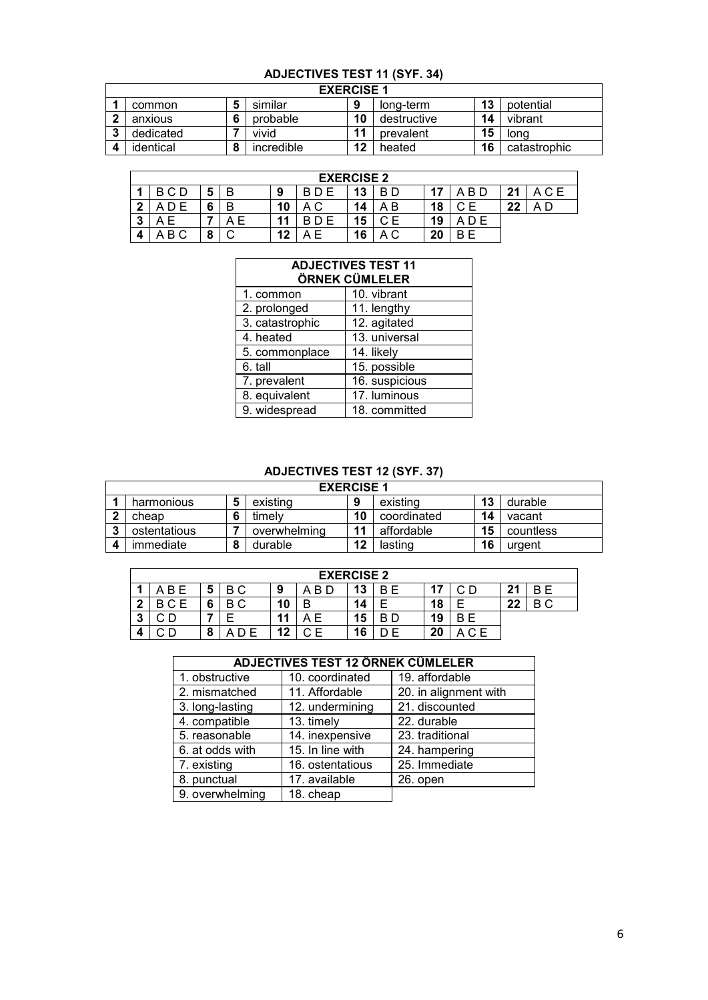# **ADJECTIVES TEST 11 (SYF. 34)**

|   | <b>EXERCISE 1</b> |   |            |    |             |    |              |  |  |
|---|-------------------|---|------------|----|-------------|----|--------------|--|--|
|   | common            |   | similar    | 9  | long-term   | 13 | potential    |  |  |
| ◠ | anxious           | c | probable   | 10 | destructive | 14 | vibrant      |  |  |
|   | dedicated         |   | vivid      | 11 | prevalent   | 15 | lona         |  |  |
|   | identical         | o | incredible | 12 | heated      | 16 | catastrophic |  |  |

|        | <b>EXERCISE 2</b> |   |   |    |          |          |        |    |       |    |  |
|--------|-------------------|---|---|----|----------|----------|--------|----|-------|----|--|
|        | B C D             | Э |   | 9  | B D E    | 12<br>10 | B D    |    | A B D | 21 |  |
| ົ      |                   |   |   | 10 | ΑC       | 14       | B<br>A | 18 |       | 22 |  |
| ≏<br>P |                   |   | Е |    |          | 15       | CЕ     | 19 | A D F |    |  |
| 4      | ВC                | u |   | 12 | ۰E.<br>А | 16       | A C    | 20 | R F   |    |  |

| <b>ADJECTIVES TEST 11</b><br>ÖRNEK CÜMLELER |                |  |  |  |  |  |  |  |
|---------------------------------------------|----------------|--|--|--|--|--|--|--|
| 1. common                                   | 10. vibrant    |  |  |  |  |  |  |  |
| 2. prolonged                                | 11. lengthy    |  |  |  |  |  |  |  |
| 3. catastrophic                             | 12. agitated   |  |  |  |  |  |  |  |
| 4. heated                                   | 13. universal  |  |  |  |  |  |  |  |
| 5. commonplace                              | 14. likely     |  |  |  |  |  |  |  |
| 6. tall                                     | 15. possible   |  |  |  |  |  |  |  |
| 7. prevalent                                | 16. suspicious |  |  |  |  |  |  |  |
| 8. equivalent                               | 17. luminous   |  |  |  |  |  |  |  |
| 9. widespread                               | 18. committed  |  |  |  |  |  |  |  |

#### **ADJECTIVES TEST 12 (SYF. 37)**

|           | <b>EXERCISE 1</b> |  |              |                      |             |    |           |  |  |  |
|-----------|-------------------|--|--------------|----------------------|-------------|----|-----------|--|--|--|
|           | harmonious        |  | existing     | 9                    | existing    | 13 | durable   |  |  |  |
|           | cheap             |  | timelv       | 10                   | coordinated | 14 | vacant    |  |  |  |
| $\bullet$ | ostentatious      |  | overwhelming | $\ddot{\phantom{1}}$ | affordable  | 15 | countless |  |  |  |
|           | immediate         |  | durable      | 12                   | lasting     | 16 | uraent    |  |  |  |

|        | <b>EXERCISE 2</b> |   |     |    |     |    |        |    |     |    |     |
|--------|-------------------|---|-----|----|-----|----|--------|----|-----|----|-----|
|        | B E               | Ð | ВC  | 9  | B D | 13 | B<br>E | די | ∩ ∩ | 21 | B E |
| າ      |                   | 6 | ВC  | 10 | E   | 14 |        | 18 |     | 22 | ВC  |
| ,<br>P |                   |   |     | 11 | A E | 15 | B D    | 19 | R F |    |     |
| 4      | ⇒D.               | a | D E | 12 | C F | 16 | E      | 20 | △⌒F |    |     |

# **ADJECTIVES TEST 12 ÖRNEK CÜMLELER**

 $\overline{\phantom{a}}$ 

| 1. obstructive  | 10. coordinated  | 19. affordable        |
|-----------------|------------------|-----------------------|
| 2. mismatched   | 11. Affordable   | 20. in alignment with |
| 3. long-lasting | 12. undermining  | 21. discounted        |
| 4. compatible   | 13. timely       | 22. durable           |
| 5. reasonable   | 14. inexpensive  | 23. traditional       |
| 6. at odds with | 15. In line with | 24. hampering         |
| 7. existing     | 16. ostentatious | 25. Immediate         |
| 8. punctual     | 17. available    | 26. open              |
| 9. overwhelming | 18. cheap        |                       |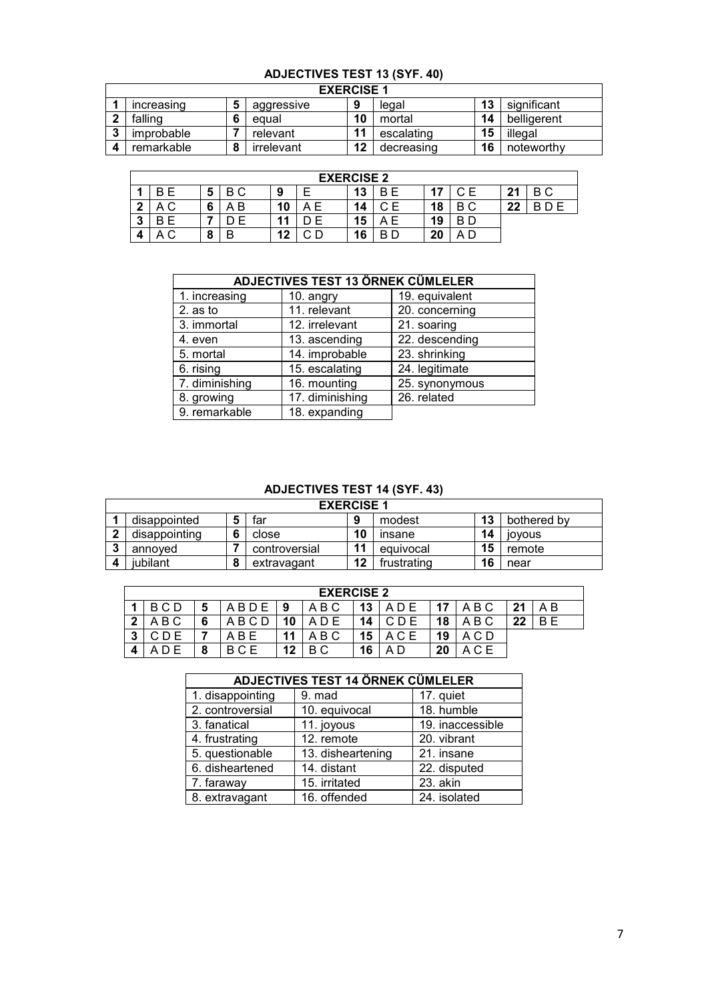|                   | ADJECTIVES TEST 13 (STF. 40) |   |            |    |            |    |             |  |  |  |
|-------------------|------------------------------|---|------------|----|------------|----|-------------|--|--|--|
| <b>EXERCISE 1</b> |                              |   |            |    |            |    |             |  |  |  |
|                   | increasing                   | 5 | aggressive | 9  | legal      | 13 | significant |  |  |  |
|                   | falling                      | 6 | equal      | 10 | mortal     | 14 | belligerent |  |  |  |
| ≏                 | improbable                   |   | relevant   | 11 | escalating | 15 | illegal     |  |  |  |
|                   | remarkable                   | 8 | irrelevant | 12 | decreasing | 16 | noteworthy  |  |  |  |

# **ADJECTIVES TEST 13 (SYF. 40)**

|   | <b>EXERCISE 2</b> |   |        |    |  |    |     |    |     |    |          |
|---|-------------------|---|--------|----|--|----|-----|----|-----|----|----------|
|   |                   | 5 | ВC     | 9  |  | 13 | B E | 17 |     | 21 | B C      |
| ◠ | A C               | 6 | B<br>А | 10 |  | 14 | Е   | 18 | ВC  | 22 | B<br>D E |
| 3 |                   |   | F      | '1 |  | 15 | ΑE  | 19 | B D |    |          |
| 4 | A C               | 8 | B      | 2ا |  | 16 | B D | 20 |     |    |          |

|                | <b>ADJECTIVES TEST 13 ÖRNEK CÜMLELER</b> |                |
|----------------|------------------------------------------|----------------|
| 1. increasing  | 10. angry                                | 19. equivalent |
| $2.$ as to     | 11. relevant                             | 20. concerning |
| 3. immortal    | 12. irrelevant                           | 21. soaring    |
| 4. even        | 13. ascending                            | 22. descending |
| 5. mortal      | 14. improbable                           | 23. shrinking  |
| 6. rising      | 15. escalating                           | 24. legitimate |
| 7. diminishing | 16. mounting                             | 25. synonymous |
| 8. growing     | 17. diminishing                          | 26. related    |
| 9. remarkable  | 18. expanding                            |                |

#### **ADJECTIVES TEST 14 (SYF. 43)**

| <b>EXERCISE 1</b> |   |               |    |             |    |               |  |  |  |  |
|-------------------|---|---------------|----|-------------|----|---------------|--|--|--|--|
| disappointed      |   | far           |    | modest      | 13 | bothered by   |  |  |  |  |
| disappointing     |   | close         | 10 | insane      | 14 | <b>IOVOUS</b> |  |  |  |  |
| annoved           |   | controversial | 11 | equivocal   | 15 | remote        |  |  |  |  |
| iubilant          | о | extravagant   | 12 | frustrating | 16 | near          |  |  |  |  |

|   | <b>EXERCISE 2</b> |   |      |    |     |    |       |    |       |         |     |
|---|-------------------|---|------|----|-----|----|-------|----|-------|---------|-----|
|   | BCD               | o | ABDE | 9  | ABC | 13 | A D E | 17 | ABC   | 21      | A B |
| າ | A B C             | ◠ | ABCD |    |     | 14 |       | 18 | A B C | າາ<br>" | B F |
| ິ |                   |   | ABE  | 11 | ABC | 15 |       | 19 | ACD   |         |     |
|   |                   | 8 | BCE  | 12 | B C | 16 |       | 20 | C E   |         |     |

|                  | <b>ADJECTIVES TEST 14 ÖRNEK CÜMLELER</b> |                  |
|------------------|------------------------------------------|------------------|
| 1. disappointing | 9. mad                                   | 17. quiet        |
| 2. controversial | 10. equivocal                            | 18. humble       |
| 3. fanatical     | 11. joyous                               | 19. inaccessible |
| 4. frustrating   | 12. remote                               | 20. vibrant      |
| 5. questionable  | 13. disheartening                        | 21. insane       |
| 6. disheartened  | 14. distant                              | 22. disputed     |
| 7. faraway       | 15. irritated                            | 23. akin         |
| 8. extravagant   | 16. offended                             | 24. isolated     |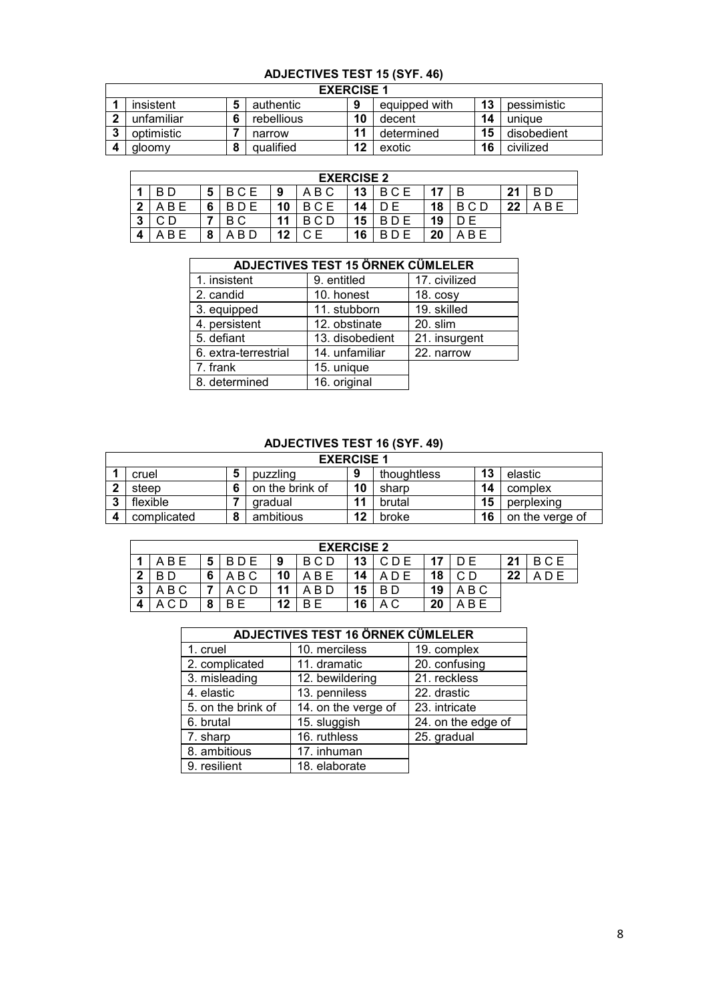# **ADJECTIVES TEST 15 (SYF. 46)**

| <b>EXERCISE 1</b> |  |            |    |               |    |             |  |  |  |
|-------------------|--|------------|----|---------------|----|-------------|--|--|--|
| insistent         |  | authentic  | 9  | equipped with | 13 | pessimistic |  |  |  |
| unfamiliar        |  | rebellious | 10 | decent        | 14 | unique      |  |  |  |
| optimistic        |  | narrow     | 11 | determined    | 15 | disobedient |  |  |  |
| aloomy            |  | qualified  | 12 | exotic        | 16 | civilized   |  |  |  |

|   | <b>EXERCISE 2</b> |   |       |    |          |    |     |    |       |    |     |
|---|-------------------|---|-------|----|----------|----|-----|----|-------|----|-----|
|   | B D               | 5 | BCE   | 9  | B C<br>А | 13 | BCE | 17 | R     | 21 | B D |
| າ | B E<br>Δ          |   |       | 10 | BCE      | 14 |     | 18 | B C D | 22 | ABE |
| ິ |                   |   | ВC    | 11 | BCD      | 15 | R   | 19 |       |    |     |
|   | B E<br>Λ          | o | A B D | 12 | CЕ       | 16 |     | 20 | B E   |    |     |

|                      | <b>ADJECTIVES TEST 15 ÖRNEK CÜMLELER</b> |               |
|----------------------|------------------------------------------|---------------|
| 1. insistent         | 9. entitled                              | 17. civilized |
| 2. candid            | 10. honest                               | $18. \cos y$  |
| 3. equipped          | 11. stubborn                             | 19. skilled   |
| 4. persistent        | 12. obstinate                            | 20. slim      |
| 5. defiant           | 13. disobedient                          | 21. insurgent |
| 6. extra-terrestrial | 14. unfamiliar                           | 22. narrow    |
| 7. frank             | 15. unique                               |               |
| 8. determined        | 16. original                             |               |

## **ADJECTIVES TEST 16 (SYF. 49)**

| <b>EXERCISE 1</b> |             |           |                 |          |             |    |                 |  |  |
|-------------------|-------------|-----------|-----------------|----------|-------------|----|-----------------|--|--|
|                   | cruel       |           | puzzling        | $\Omega$ | thoughtless | 13 | elastic         |  |  |
|                   | steep       |           | on the brink of | 10       | sharp       | 14 | complex         |  |  |
| ∍                 | flexible    |           | gradual         | 11       | brutal      | 15 | perplexing      |  |  |
|                   | complicated | $\bullet$ | ambitious       | 12       | broke       | 16 | on the verge of |  |  |

|   | <b>EXERCISE 2</b> |   |       |    |       |    |       |    |     |    |     |
|---|-------------------|---|-------|----|-------|----|-------|----|-----|----|-----|
|   | ABE               | 5 | BDE   | 9  | BCD   | 13 | C D E | 17 |     | 21 | BCE |
| ີ |                   | 6 | A B C | 10 | ABE   | 14 | D E   | 18 | СD  | 22 |     |
| 3 | A B C             |   |       |    | A B D | 15 | B D   | 19 | ABC |    |     |
| Д |                   |   | R F   | 12 | B F   | 16 | A C   | 20 | R F |    |     |

|                    | <b>ADJECTIVES TEST 16 ÖRNEK CÜMLELER</b> |                    |  |  |  |  |  |  |  |  |  |
|--------------------|------------------------------------------|--------------------|--|--|--|--|--|--|--|--|--|
| 1. cruel           | 10. merciless                            | 19. complex        |  |  |  |  |  |  |  |  |  |
| 2. complicated     | 11. dramatic                             | 20. confusing      |  |  |  |  |  |  |  |  |  |
| 3. misleading      | 12. bewildering                          | 21. reckless       |  |  |  |  |  |  |  |  |  |
| 4. elastic         | 13. penniless                            | 22. drastic        |  |  |  |  |  |  |  |  |  |
| 5. on the brink of | 14. on the verge of                      | 23. intricate      |  |  |  |  |  |  |  |  |  |
| 6. brutal          | 15. sluggish                             | 24. on the edge of |  |  |  |  |  |  |  |  |  |
| 7. sharp           | 16. ruthless                             | 25. gradual        |  |  |  |  |  |  |  |  |  |
| 8. ambitious       | 17. inhuman                              |                    |  |  |  |  |  |  |  |  |  |
| 9. resilient       | 18. elaborate                            |                    |  |  |  |  |  |  |  |  |  |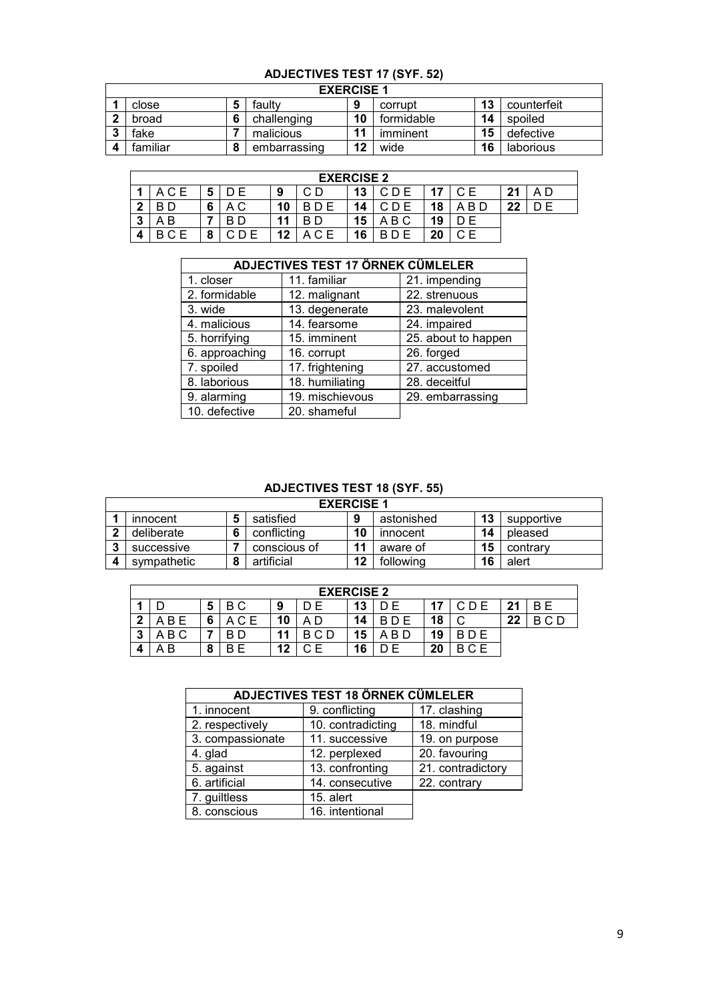# **ADJECTIVES TEST 17 (SYF. 52)**

|          | <b>EXERCISE 1</b> |    |            |    |             |
|----------|-------------------|----|------------|----|-------------|
| close    | faultv            | 9  | corrupt    | 13 | counterfeit |
| broad    | challenging       | 10 | formidable | 14 | spoiled     |
| fake     | malicious         |    | imminent   | 15 | defective   |
| familiar | embarrassing      | 12 | wide       | 16 | laborious   |

|   | <b>EXERCISE 2</b>                        |   |     |    |  |    |       |           |      |    |     |  |  |  |
|---|------------------------------------------|---|-----|----|--|----|-------|-----------|------|----|-----|--|--|--|
|   | 13<br>21<br>47<br>C F<br>A C E<br>9<br>U |   |     |    |  |    |       |           |      |    |     |  |  |  |
| ◠ |                                          | 6 | A C | 10 |  | 14 |       | 18        | .B D | 22 | ) F |  |  |  |
| 2 | ΑB                                       |   | - F | 44 |  | 15 | . B C | <b>10</b> |      |    |     |  |  |  |
|   |                                          |   |     | 12 |  | 16 |       | ົາດ       |      |    |     |  |  |  |

|                | <b>ADJECTIVES TEST 17 ÖRNEK CÜMLELER</b> |                     |  |  |  |  |  |  |  |  |  |  |
|----------------|------------------------------------------|---------------------|--|--|--|--|--|--|--|--|--|--|
| 1. closer      | 11. familiar                             | 21. impending       |  |  |  |  |  |  |  |  |  |  |
| 2. formidable  | 12. malignant                            | 22. strenuous       |  |  |  |  |  |  |  |  |  |  |
| 3. wide        | 13. degenerate                           | 23. malevolent      |  |  |  |  |  |  |  |  |  |  |
| 4. malicious   | 14. fearsome                             | 24. impaired        |  |  |  |  |  |  |  |  |  |  |
| 5. horrifying  | 15. imminent                             | 25. about to happen |  |  |  |  |  |  |  |  |  |  |
| 6. approaching | 16. corrupt                              | 26. forged          |  |  |  |  |  |  |  |  |  |  |
| 7. spoiled     | 17. frightening                          | 27. accustomed      |  |  |  |  |  |  |  |  |  |  |
| 8. laborious   | 18. humiliating                          | 28. deceitful       |  |  |  |  |  |  |  |  |  |  |
| 9. alarming    | 19. mischievous                          | 29. embarrassing    |  |  |  |  |  |  |  |  |  |  |
| 10. defective  | 20. shameful                             |                     |  |  |  |  |  |  |  |  |  |  |

#### **ADJECTIVES TEST 18 (SYF. 55)**

|   |                                                             |  | <b>EXERCISE 1</b> |    |            |    |            |  |  |  |  |  |
|---|-------------------------------------------------------------|--|-------------------|----|------------|----|------------|--|--|--|--|--|
|   | innocent                                                    |  | satisfied         | 9  | astonished | 13 | supportive |  |  |  |  |  |
|   | deliberate                                                  |  | conflicting       | 10 | innocent   | 14 | pleased    |  |  |  |  |  |
| ≏ | successive                                                  |  | conscious of      | 11 | aware of   | 15 | contrary   |  |  |  |  |  |
|   | 12<br>16<br>following<br>artificial<br>svmpathetic<br>alert |  |                   |    |            |    |            |  |  |  |  |  |

|        | <b>EXERCISE 2</b>                          |        |        |    |          |    |    |    |            |    |                         |  |  |  |
|--------|--------------------------------------------|--------|--------|----|----------|----|----|----|------------|----|-------------------------|--|--|--|
|        | 13<br><b>BF</b><br>21<br>E<br>ВC<br>5<br>9 |        |        |    |          |    |    |    |            |    |                         |  |  |  |
| כי     | . R F                                      | 6      | C F    | 10 |          | 14 |    | 18 |            | 22 | $\cdot$ $\cap$ $\Gamma$ |  |  |  |
| 2<br>v | B C                                        |        |        | 11 | R<br>C D | 15 | R. | 19 | <b>BDE</b> |    |                         |  |  |  |
| 4      | В                                          | C<br>o | F<br>R | 12 | C. F     | 16 | F  | 20 | C F        |    |                         |  |  |  |

|                  | ADJECTIVES TEST 18 ÖRNEK CÜMLELER |                   |
|------------------|-----------------------------------|-------------------|
| 1. innocent      | 9. conflicting                    | 17. clashing      |
| 2. respectively  | 10. contradicting                 | 18. mindful       |
| 3. compassionate | 11. successive                    | 19. on purpose    |
| 4. glad          | 12. perplexed                     | 20. favouring     |
| 5. against       | 13. confronting                   | 21. contradictory |
| 6. artificial    | 14. consecutive                   | 22. contrary      |
| 7. guiltless     | 15. alert                         |                   |
| 8. conscious     | 16. intentional                   |                   |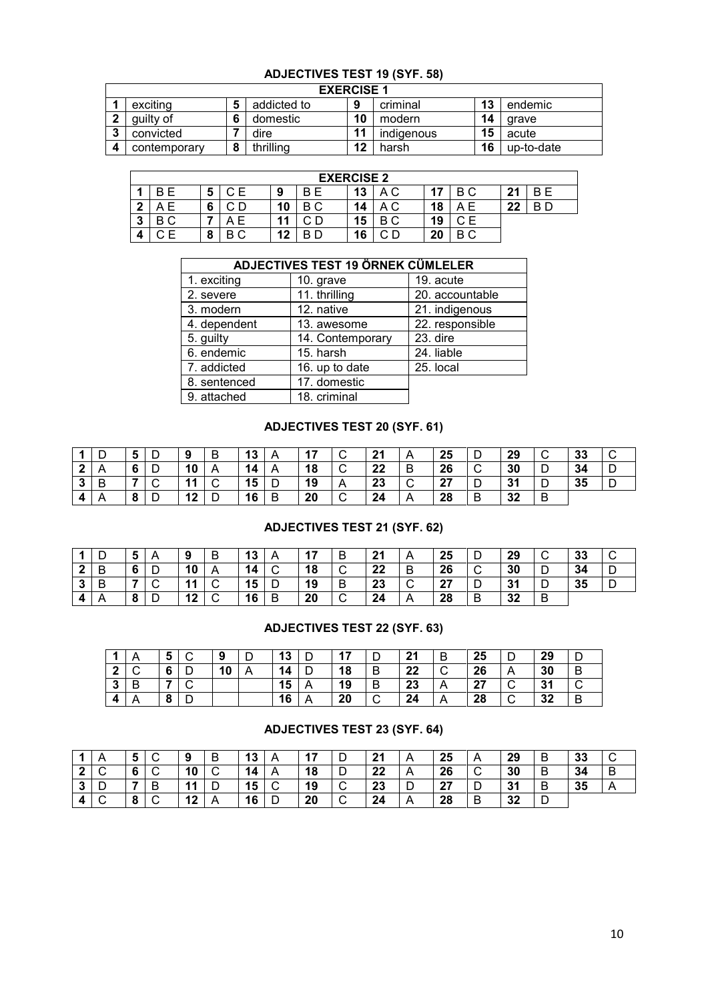#### **ADJECTIVES TEST 19 (SYF. 58)**

|              | <b>EXERCISE 1</b> |    |            |    |            |
|--------------|-------------------|----|------------|----|------------|
| exciting     | addicted to       | 9  | criminal   | 13 | endemic    |
| quilty of    | domestic          | 10 | modern     | 14 | arave      |
| convicted    | dire              |    | indigenous | 15 | acute      |
| contemporary | thrillina         | 12 | harsh      | 16 | up-to-date |

|        | <b>EXERCISE 2</b> |        |      |    |    |    |     |    |    |    |     |  |  |  |
|--------|-------------------|--------|------|----|----|----|-----|----|----|----|-----|--|--|--|
|        |                   | э      | ΩF   | 9  | ВE | 13 | A C | ⇁  | ВC | 21 | B E |  |  |  |
| ◠      |                   | 6      |      | 10 | ВC | 14 | ΑC  | 18 |    | 22 | B D |  |  |  |
| ≏<br>◡ | ΒС                |        | E    | 11 |    | 15 | B C | 19 | ◠⊏ |    |     |  |  |  |
|        |                   | O<br>o | 8 C. | 12 |    | 16 | Ð   | 20 | ВC |    |     |  |  |  |

|              | <b>ADJECTIVES TEST 19 ÖRNEK CÜMLELER</b> |                 |  |  |  |  |  |  |  |  |  |  |  |
|--------------|------------------------------------------|-----------------|--|--|--|--|--|--|--|--|--|--|--|
| 1. exciting  | 10. grave                                | 19. acute       |  |  |  |  |  |  |  |  |  |  |  |
| 2. severe    | 11. thrilling                            | 20. accountable |  |  |  |  |  |  |  |  |  |  |  |
| 3. modern    | 12. native                               | 21. indigenous  |  |  |  |  |  |  |  |  |  |  |  |
| 4. dependent | 13. awesome                              | 22. responsible |  |  |  |  |  |  |  |  |  |  |  |
| 5. guilty    | 14. Contemporary                         | 23. dire        |  |  |  |  |  |  |  |  |  |  |  |
| 6. endemic   | 15. harsh                                | 24. liable      |  |  |  |  |  |  |  |  |  |  |  |
| 7. addicted  | 16. up to date                           | 25. local       |  |  |  |  |  |  |  |  |  |  |  |
| 8. sentenced | 17. domestic                             |                 |  |  |  |  |  |  |  |  |  |  |  |
| 9. attached  | 18. criminal                             |                 |  |  |  |  |  |  |  |  |  |  |  |

## **ADJECTIVES TEST 20 (SYF. 61)**

| -4      | υ              | 5 | D | 9               | B | 13 | $\mathsf{A}$ | 17 | $\sim$<br>◡ | 21 | A              | 25                | ∍<br>◡      | 29 | $\sim$<br>ັ | 33 | ັ |
|---------|----------------|---|---|-----------------|---|----|--------------|----|-------------|----|----------------|-------------------|-------------|----|-------------|----|---|
| ົາ<br>◢ | $\overline{A}$ | 6 | D | 10              |   | 14 | A            | 18 | $\sim$<br>◡ | 22 | $\overline{B}$ | 26                | $\sim$<br>◡ | 30 | ◡           | 34 | ◡ |
| -3      | B              |   |   | $\overline{11}$ | ັ | 15 | ◡            | 19 | A           | 23 | ∣C             | - 7<br>$\epsilon$ | ∍<br>┕      | 31 | ◡           | 35 | ◡ |
| 4       | A              | 8 | D | 12              | ◡ | 16 |              | 20 | $\sim$<br>◡ | 24 | A              | 28                | B           | 32 | B           |    |   |

#### **ADJECTIVES TEST 21 (SYF. 62)**

| -4           | υ | ა | A      | 9  | B           | 13 | A | 17 | B           | 21 | A   | 25       | ◡           | 29 | ັ | 33 | ັ |
|--------------|---|---|--------|----|-------------|----|---|----|-------------|----|-----|----------|-------------|----|---|----|---|
| $\mathbf{2}$ | B | 6 | D      | 10 |             | 14 | ັ | 18 | $\sim$<br>◡ | 22 | B   | 26       | $\sim$<br>◡ | 30 | ◡ | 34 | ◡ |
| 3            | B |   | $\sim$ | 11 | $\sim$<br>ັ | 15 | ັ | 19 | B           | 23 | . C | 27<br>41 | ∍<br>◡      | 31 | ◡ | 35 | ◡ |
| 4            | A | 8 | D      | 12 | ⌒<br>ັ      | 16 | B | 20 | $\sim$<br>◡ | 24 | A   | 28       | B           | 32 | B |    |   |

#### **ADJECTIVES TEST 22 (SYF. 63)**

|    |   | 5 |   | -9 | D | 13 | D | <b>17</b> |   | 21 | B | 25 |   | 29 |   |
|----|---|---|---|----|---|----|---|-----------|---|----|---|----|---|----|---|
| ▲  |   | 6 | ◡ | 10 | A | 14 | D | 18        | B | 22 |   | 26 |   | 30 | B |
| 3  |   |   |   |    |   | 15 | A | 19        | B | 23 |   | 27 |   | 31 |   |
| -4 | Α | 8 | ◡ |    |   | 16 | A | 20        | ◡ | 24 |   | 28 | ◡ | 32 | B |

#### **ADJECTIVES TEST 23 (SYF. 64)**

|        |             | ູວ                       | ◡      | 9  | B                             | 13 | A | 17 | ◡           | 21 | A              | 25 | $\overline{A}$ | 29 | B | 33 |   |
|--------|-------------|--------------------------|--------|----|-------------------------------|----|---|----|-------------|----|----------------|----|----------------|----|---|----|---|
| ົ<br>◢ | $\sim$<br>ັ | $\epsilon$<br>O          | ⌒<br>◡ | 10 | ◡                             | 14 | A | 18 | D<br>◡      | 22 | $\overline{A}$ | 26 | $\sim$<br>◡    | 30 | B | 34 | B |
| 3      | ◡           | $\overline{\phantom{a}}$ | B      | 11 | $\overline{\phantom{a}}$<br>◡ | 15 | ັ | 19 | $\sim$<br>ັ | 23 |                | 27 | D              | 31 | B | 35 |   |
|        | ֊           | $\bullet$<br>o           | ◡      | 12 |                               | 16 | ◡ | 20 | ⌒<br>◡      | 24 | $\overline{A}$ | 28 | B              | 32 |   |    |   |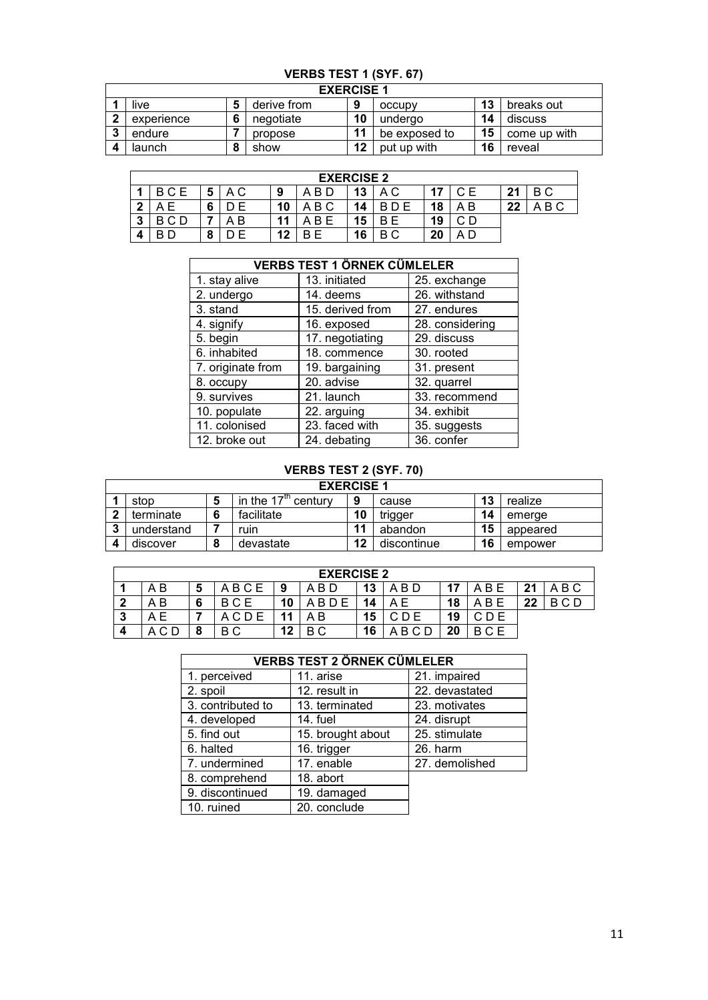# **VERBS TEST 1 (SYF. 67)**

|   |            | <b>EXERCISE 1</b> |    |               |    |              |
|---|------------|-------------------|----|---------------|----|--------------|
|   | live       | derive from       | 9  | occupy        | 13 | breaks out   |
| ◠ | experience | negotiate         | 10 | undergo       | 14 | discuss      |
|   | endure     | propose           | 11 | be exposed to | 15 | come up with |
|   | launch     | show              | 12 | put up with   | 16 | reveal       |

|   | <b>EXERCISE 2</b> |   |    |    |         |    |        |    |     |    |       |  |
|---|-------------------|---|----|----|---------|----|--------|----|-----|----|-------|--|
|   | BCE               | 5 | ΑC | 9  | A B D   | 13 | A C    |    |     | 21 | B C   |  |
| າ |                   | 6 |    | 10 | ABC     | 14 |        | 18 |     | 22 | A B C |  |
| 3 | BCD               |   | B  | 11 | B.<br>А | 15 | Е<br>B | 19 | ∩ ∩ |    |       |  |
| 4 |                   | О |    | 12 | B F     | 16 | ВC     | 20 |     |    |       |  |

|                   | <b>VERBS TEST 1 ÖRNEK CÜMLELER</b> |                 |
|-------------------|------------------------------------|-----------------|
| 1. stay alive     | 13. initiated                      | 25. exchange    |
| 2. undergo        | 14. deems                          | 26. withstand   |
| 3. stand          | 15. derived from                   | 27. endures     |
| 4. signify        | 16. exposed                        | 28. considering |
| 5. begin          | 17. negotiating                    | 29. discuss     |
| 6. inhabited      | 18. commence                       | 30. rooted      |
| 7. originate from | 19. bargaining                     | 31. present     |
| 8. occupy         | 20. advise                         | 32. quarrel     |
| 9. survives       | 21. launch                         | 33. recommend   |
| 10. populate      | 22. arguing                        | 34. exhibit     |
| 11. colonised     | 23. faced with                     | 35. suggests    |
| 12. broke out     | 24. debating                       | 36. confer      |

## **VERBS TEST 2 (SYF. 70)**

|                                                                     |   | <b>EXERCISE 1</b> |    |             |    |          |  |  |
|---------------------------------------------------------------------|---|-------------------|----|-------------|----|----------|--|--|
| in the $17m$<br>13<br>realize<br>9<br>century<br>stop<br>cause<br>э |   |                   |    |             |    |          |  |  |
| terminate                                                           | 6 | facilitate        | 10 | trigger     | 14 | emerae   |  |  |
| understand                                                          |   | ruin              |    | abandon     | 15 | appeared |  |  |
| discover                                                            | 8 | devastate         | 12 | discontinue | 16 | empower  |  |  |

|   | <b>EXERCISE 2</b> |   |      |    |       |    |          |    |            |    |            |  |
|---|-------------------|---|------|----|-------|----|----------|----|------------|----|------------|--|
|   | A B               | 5 | ABCE | 9  | A B D | 13 | A B D    | 17 | B E<br>A   | 21 | ABC        |  |
| , | ΑB                | 6 | BCE  | 10 | BDE   | 14 | ΑE       | 18 | B E<br>А   | クク | $R \cap D$ |  |
| 3 | A E               |   | ACDE |    | ΑB    | 15 | C D E    | 19 | CDE        |    |            |  |
| 4 |                   | ິ | ВC   | 12 | B C   | 16 | BCD<br>А | 20 | <b>BCE</b> |    |            |  |

# **VERBS TEST 2 ÖRNEK CÜMLELER**

|                   | VERBS TEST 2 ORNEK CUMLELER |                |
|-------------------|-----------------------------|----------------|
| 1. perceived      | 11. arise                   | 21. impaired   |
| 2. spoil          | 12. result in               | 22. devastated |
| 3. contributed to | 13. terminated              | 23. motivates  |
| 4. developed      | 14. fuel                    | 24. disrupt    |
| 5. find out       | 15. brought about           | 25. stimulate  |
| 6. halted         | 16. trigger                 | 26. harm       |
| 7. undermined     | 17. enable                  | 27. demolished |
| 8. comprehend     | 18. abort                   |                |
| 9. discontinued   | 19. damaged                 |                |
| 10. ruined        | 20. conclude                |                |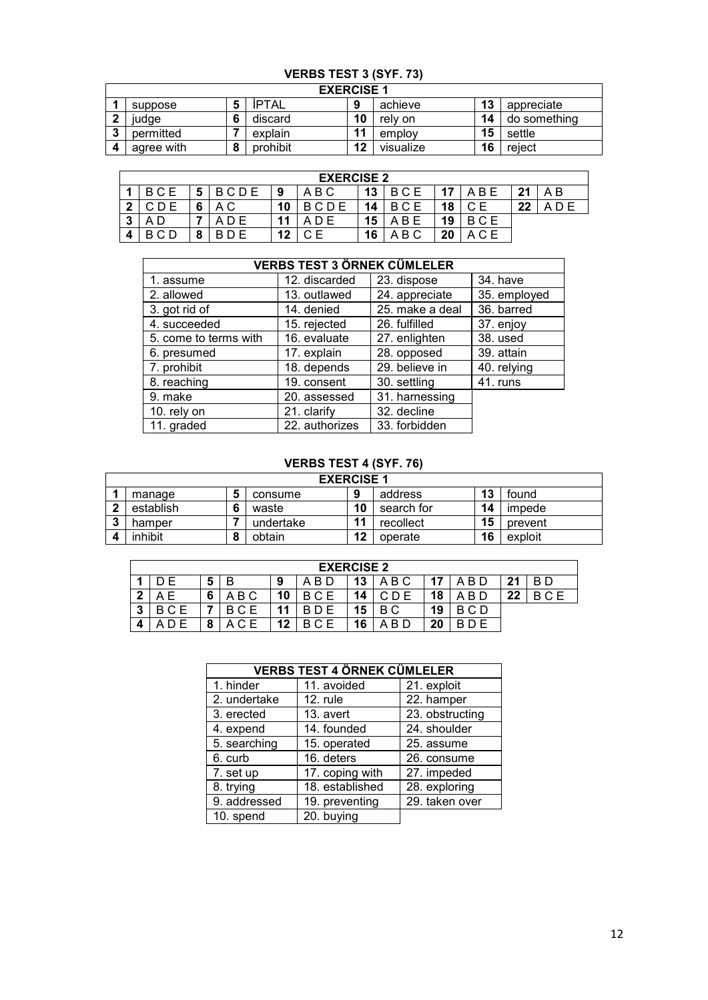# **VERBS TEST 3 (SYF. 73)**

|   |            |   | <b>EXERCISE 1</b> |    |           |    |              |
|---|------------|---|-------------------|----|-----------|----|--------------|
|   | suppose    |   | <b>IPTAL</b>      | 9  | achieve   | 13 | appreciate   |
| ◠ | iudae      | o | discard           | 10 | rely on   | 14 | do something |
| ◠ | permitted  |   | explain           | 11 | employ    | 15 | settle       |
|   | agree with |   | prohibit          | 12 | visualize | 16 | reiect       |

|        | <b>EXERCISE 2</b> |        |      |    |      |    |            |    |     |    |     |  |
|--------|-------------------|--------|------|----|------|----|------------|----|-----|----|-----|--|
|        | BCE               | 5      | BCDE | 9  | ABC  | 13 | BCE        |    | ABE | 21 | A B |  |
| C      | D E               | 6      | ΑC   | 10 | BCDE | 14 | B C        | 18 |     | 22 |     |  |
| າ<br>J |                   |        | ADE  | 11 |      | 15 | A B        | 19 | BCE |    |     |  |
|        | C D               | ິ<br>u |      | 12 |      | 16 | . B C<br>А | 20 |     |    |     |  |

| <b>VERBS TEST 3 ÖRNEK CÜMLELER</b> |                |                 |              |  |  |  |  |  |  |
|------------------------------------|----------------|-----------------|--------------|--|--|--|--|--|--|
|                                    |                |                 |              |  |  |  |  |  |  |
| 1. assume                          | 12. discarded  | 23. dispose     | 34. have     |  |  |  |  |  |  |
| 2. allowed                         | 13. outlawed   | 24. appreciate  | 35. employed |  |  |  |  |  |  |
| 3. got rid of                      | 14. denied     | 25. make a deal | 36. barred   |  |  |  |  |  |  |
| 4. succeeded                       | 15. rejected   | 26. fulfilled   | 37. enjoy    |  |  |  |  |  |  |
| 5. come to terms with              | 16. evaluate   | 27. enlighten   | 38. used     |  |  |  |  |  |  |
| 6. presumed                        | 17. explain    | 28. opposed     | 39. attain   |  |  |  |  |  |  |
| 7. prohibit                        | 18. depends    | 29. believe in  | 40. relying  |  |  |  |  |  |  |
| 8. reaching                        | 19. consent    | 30. settling    | 41. runs     |  |  |  |  |  |  |
| 9. make                            | 20. assessed   | 31. harnessing  |              |  |  |  |  |  |  |
| 10. rely on                        | 21. clarify    | 32. decline     |              |  |  |  |  |  |  |
| 11. graded                         | 22. authorizes | 33. forbidden   |              |  |  |  |  |  |  |

## **VERBS TEST 4 (SYF. 76)**

|              | <b>EXERCISE 1</b> |   |           |    |            |    |         |  |  |  |  |
|--------------|-------------------|---|-----------|----|------------|----|---------|--|--|--|--|
|              | manage            | 5 | consume   | 9  | address    | 13 | found   |  |  |  |  |
| $\mathbf{r}$ | establish         |   | waste     | 10 | search for | 14 | impede  |  |  |  |  |
| ໍາ           | hamper            |   | undertake | 11 | recollect  | 15 | prevent |  |  |  |  |
|              | inhibit           | C | obtain    | 12 | operate    | 16 | exploit |  |  |  |  |

|   | <b>EXERCISE 2</b> |           |       |    |       |    |          |       |            |    |            |  |
|---|-------------------|-----------|-------|----|-------|----|----------|-------|------------|----|------------|--|
|   | D F               | 5         |       | 9  | A B D | 13 | A B C    | $-17$ | A B D      | 21 | BD.        |  |
| C | ΑE                | 6         | A B C | 10 | BCE   | 14 |          | 18    | A B D      | 22 | <b>BCE</b> |  |
| 3 | <b>BCE</b>        |           | BCE   | 11 |       | 15 | ВC       | 19    | <b>BCD</b> |    |            |  |
| 4 |                   | $\bullet$ | ACE   | 12 | BCE   | 16 | B D<br>А | 20    |            |    |            |  |

|              | <b>VERBS TEST 4 ÖRNEK CÜMLELER</b> |                 |  |  |  |  |  |  |  |  |
|--------------|------------------------------------|-----------------|--|--|--|--|--|--|--|--|
| 1. hinder    | 11. avoided                        | 21. exploit     |  |  |  |  |  |  |  |  |
| 2. undertake | 12. rule                           | 22. hamper      |  |  |  |  |  |  |  |  |
| 3. erected   | 13. avert                          | 23. obstructing |  |  |  |  |  |  |  |  |
| 4. expend    | 14. founded                        | 24. shoulder    |  |  |  |  |  |  |  |  |
| 5. searching | 15. operated                       | 25. assume      |  |  |  |  |  |  |  |  |
| 6. curb      | 16. deters                         | 26. consume     |  |  |  |  |  |  |  |  |
| 7. set up    | 17. coping with                    | 27. impeded     |  |  |  |  |  |  |  |  |
| 8. trying    | 18. established                    | 28. exploring   |  |  |  |  |  |  |  |  |
| 9. addressed | 19. preventing                     | 29. taken over  |  |  |  |  |  |  |  |  |
| 10. spend    | 20. buying                         |                 |  |  |  |  |  |  |  |  |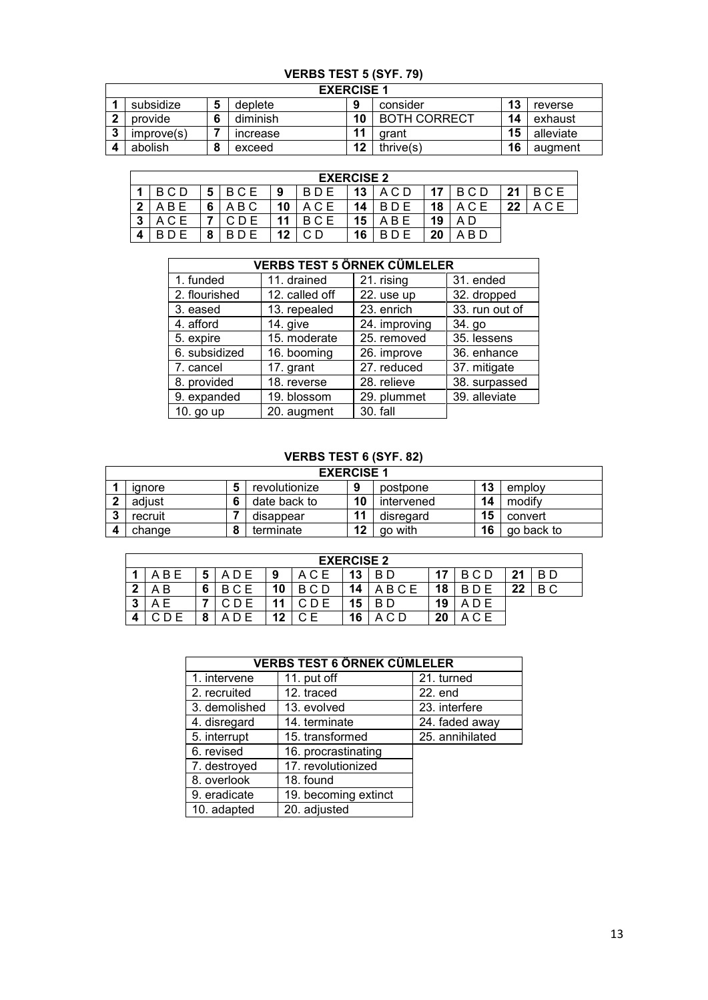# **VERBS TEST 5 (SYF. 79)**

| <b>EXERCISE 1</b> |   |                 |    |                     |    |           |  |  |  |  |  |
|-------------------|---|-----------------|----|---------------------|----|-----------|--|--|--|--|--|
| subsidize         | Ð | deplete         | 9  | consider            | 13 | reverse   |  |  |  |  |  |
| provide           | 6 | diminish        | 10 | <b>BOTH CORRECT</b> | 14 | exhaust   |  |  |  |  |  |
| improve(s)        |   | <b>Increase</b> | 11 | arant               | 15 | alleviate |  |  |  |  |  |
| abolish           | 8 | exceed          | 12 | thrive(s)           | 16 | augment   |  |  |  |  |  |

|    | <b>EXERCISE 2</b> |   |            |    |       |    |           |    |       |    |     |  |
|----|-------------------|---|------------|----|-------|----|-----------|----|-------|----|-----|--|
|    | B C D             | 5 | <b>BCE</b> | 9  | BD E  | 13 | .C D<br>A | 17 | B C D | 21 | BCE |  |
| າ  | . B E<br>A        | 6 | ABC        | 10 | A C E | 14 | D E<br>B  | 18 |       | 22 | ACE |  |
| -3 |                   |   | CDE        | 11 |       | 15 | B E<br>А  | 19 | A D   |    |     |  |
| 4  |                   | о |            | 12 |       | 16 |           | 20 | -B D  |    |     |  |

|               |                | <b>VERBS TEST 5 ÖRNEK CÜMLELER</b> |                |  |  |
|---------------|----------------|------------------------------------|----------------|--|--|
| 1. funded     | 11. drained    | 21. rising                         | 31. ended      |  |  |
| 2. flourished | 12. called off | 22. use up                         | 32. dropped    |  |  |
| 3. eased      | 13. repealed   | 23. enrich                         | 33. run out of |  |  |
| 4. afford     | 14. give       | 24. improving                      | 34. go         |  |  |
| 5. expire     | 15. moderate   | 25. removed                        | 35. lessens    |  |  |
| 6. subsidized | 16. booming    | 26. improve                        | 36. enhance    |  |  |
| 7. cancel     | 17. grant      | 27. reduced                        | 37. mitigate   |  |  |
| 8. provided   | 18. reverse    | 28. relieve                        | 38. surpassed  |  |  |
| 9. expanded   | 19. blossom    | 29. plummet                        | 39. alleviate  |  |  |
| 10. go up     | 20. augment    | 30. fall                           |                |  |  |

## **VERBS TEST 6 (SYF. 82)**

| <b>EXERCISE 1</b> |                                                          |           |              |    |            |    |            |  |  |  |  |
|-------------------|----------------------------------------------------------|-----------|--------------|----|------------|----|------------|--|--|--|--|
|                   | 13<br>revolutionize<br>9<br>employ<br>postpone<br>ianore |           |              |    |            |    |            |  |  |  |  |
| $\mathbf{r}$      | adiust                                                   |           | date back to | 10 | intervened | 14 | modify     |  |  |  |  |
| -2                | recruit                                                  |           | disappear    | 11 | disregard  | 15 | convert    |  |  |  |  |
|                   | change                                                   | $\bullet$ | terminate    | 12 | go with    | 16 | go back to |  |  |  |  |

|   | <b>EXERCISE 2</b> |   |            |    |     |    |       |    |            |    |     |  |  |
|---|-------------------|---|------------|----|-----|----|-------|----|------------|----|-----|--|--|
|   | B E               | 5 | A D E      | 9  |     | 13 | B D   | 17 | B C D      | 21 | B D |  |  |
| າ | A B               | 6 | <b>BCE</b> | 10 | BCD | 14 | ABCE  | 18 | <b>BDF</b> | 22 | B C |  |  |
| 3 | Е                 |   |            | 44 |     | 15 | -B D  | 19 | ADE        |    |     |  |  |
|   |                   | О | D E        | 12 |     | 16 | A C D | 20 | ACE        |    |     |  |  |

|               | <b>VERBS TEST 6 ÖRNEK CÜMLELER</b> |                 |
|---------------|------------------------------------|-----------------|
| 1. intervene  | 11. put off                        | 21. turned      |
| 2. recruited  | 12. traced                         | $22.$ end       |
| 3. demolished | 13. evolved                        | 23. interfere   |
| 4. disregard  | 14. terminate                      | 24. faded away  |
| 5. interrupt  | 15. transformed                    | 25. annihilated |
| 6. revised    | 16. procrastinating                |                 |
| 7. destroyed  | 17. revolutionized                 |                 |
| 8. overlook   | 18. found                          |                 |
| 9. eradicate  | 19. becoming extinct               |                 |
| 10. adapted   | 20. adjusted                       |                 |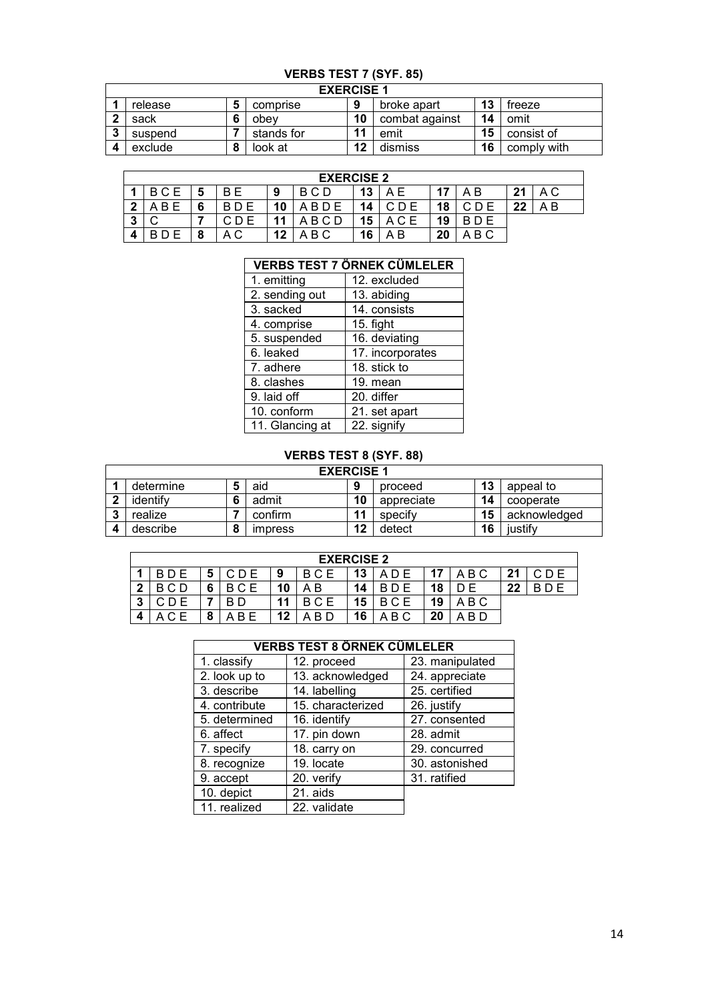## **VERBS TEST 7 (SYF. 85)**

|   | <b>EXERCISE 1</b> |  |            |    |                |    |             |  |  |  |  |  |
|---|-------------------|--|------------|----|----------------|----|-------------|--|--|--|--|--|
|   | release           |  | comprise   | 9  | broke apart    | 13 | treeze      |  |  |  |  |  |
|   | sack              |  | obev       | 10 | combat against | 14 | omit        |  |  |  |  |  |
| ົ | suspend           |  | stands for | 11 | emit           | 15 | consist of  |  |  |  |  |  |
|   | exclude           |  | look at    | 12 | dismiss        | 16 | comply with |  |  |  |  |  |

|        | <b>EXERCISE 2</b> |   |            |    |             |    |     |     |          |    |     |  |
|--------|-------------------|---|------------|----|-------------|----|-----|-----|----------|----|-----|--|
|        | BCE               | 5 | B F        | 9  | B C D       | 13 | ΑF  | -47 | ΑB       | 21 | A C |  |
| ົ      | B E               | 6 | <b>RDF</b> | 10 | <b>BDE</b>  | 14 |     | 18  |          | 22 | A B |  |
| ິ<br>м |                   |   |            | 11 | <b>ABCD</b> | 15 | ACE | 19  |          |    |     |  |
| 4      |                   | 8 | A C        | 12 | . B C       | 16 | A B | 20  | B C<br>A |    |     |  |

#### **VERBS TEST 7 ÖRNEK CÜMLELER**

| 1. emitting     | 12. excluded     |
|-----------------|------------------|
| 2. sending out  | 13. abiding      |
| 3. sacked       | 14. consists     |
| 4. comprise     | 15. fight        |
| 5. suspended    | 16. deviating    |
| 6. leaked       | 17. incorporates |
| 7. adhere       | 18. stick to     |
| 8. clashes      | 19. mean         |
| 9. laid off     | 20. differ       |
| 10. conform     | 21. set apart    |
| 11. Glancing at | 22. signify      |

#### **VERBS TEST 8 (SYF. 88)**

|                        | <b>EXERCISE 1</b> |           |                |    |            |    |              |  |  |  |  |  |
|------------------------|-------------------|-----------|----------------|----|------------|----|--------------|--|--|--|--|--|
|                        | determine         | 5         | aid            | Ω  | proceed    | 13 | appeal to    |  |  |  |  |  |
| $\mathbf{r}$           | identify          | c         | admit          | 10 | appreciate | 14 | cooperate    |  |  |  |  |  |
| ີ                      | realize           |           | confirm        |    | specify    | 15 | acknowledged |  |  |  |  |  |
| $\boldsymbol{\Lambda}$ | describe          | $\bullet$ | <i>impress</i> | 12 | detect     | 16 | justify      |  |  |  |  |  |

|        | <b>EXERCISE 2</b> |   |       |    |            |    |          |    |           |    |     |  |  |
|--------|-------------------|---|-------|----|------------|----|----------|----|-----------|----|-----|--|--|
|        | <b>BDE</b>        | 5 | C D E | 9  | <b>BCE</b> | 13 | A D E    | 17 | ABC       | 21 | CDE |  |  |
| 2<br>▴ | BCD               | 6 | BCE   | 10 | ΑB         | 14 | BD E     | 18 |           | 22 |     |  |  |
| 3      |                   |   |       | 11 | BCE        | 15 | BCE      | 19 | ABC       |    |     |  |  |
| Δ      | А                 |   | ABE   | 12 | A B D      | 16 | B C<br>А | 20 | -B D<br>А |    |     |  |  |

|               | <b>VERBS TEST 8 ÖRNEK CÜMLELER</b> |                 |
|---------------|------------------------------------|-----------------|
| 1. classify   | 12. proceed                        | 23. manipulated |
| 2. look up to | 13. acknowledged                   | 24. appreciate  |
| 3. describe   | 14. labelling                      | 25. certified   |
| 4. contribute | 15. characterized                  | 26. justify     |
| 5. determined | 16. identify                       | 27. consented   |
| 6. affect     | 17. pin down                       | 28. admit       |
| 7. specify    | 18. carry on                       | 29. concurred   |
| 8. recognize  | 19. locate                         | 30. astonished  |
| 9. accept     | 20. verify                         | 31. ratified    |
| 10. depict    | 21. aids                           |                 |
| 11. realized  | 22. validate                       |                 |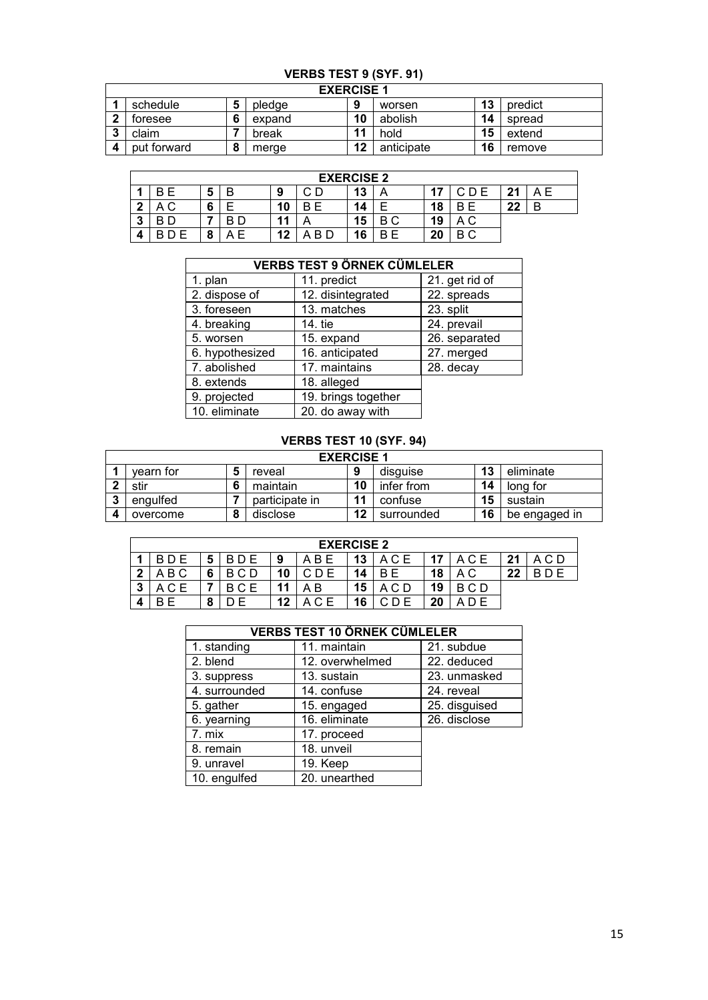# **VERBS TEST 9 (SYF. 91)**

|   | <b>EXERCISE 1</b> |   |        |    |            |    |         |  |  |  |  |  |
|---|-------------------|---|--------|----|------------|----|---------|--|--|--|--|--|
|   | schedule          | э | pledge | 9  | worsen     | 13 | predict |  |  |  |  |  |
|   | toresee           | о | expand | 10 | abolish    | 14 | spread  |  |  |  |  |  |
| ◠ | claim             |   | break  | 11 | hold       | 15 | extend  |  |  |  |  |  |
|   | put forward       |   | merge  | 12 | anticipate | 16 | remove  |  |  |  |  |  |

|   | <b>EXERCISE 2</b> |   |   |    |           |    |        |    |     |         |    |  |  |
|---|-------------------|---|---|----|-----------|----|--------|----|-----|---------|----|--|--|
|   | E<br>В            | 5 | B | 9  | rη<br>U U | 13 | A      |    | CDE | 21<br>◢ | ΑE |  |  |
| ŋ | ΑC                | ∼ |   | 10 | B F       | 14 |        | 18 | R.  | 22      | в  |  |  |
| 3 | B D               |   | D | 11 |           | 15 | B C    | 19 |     |         |    |  |  |
| 4 | E<br>D.           |   | E | 12 | B D       | 16 | Е<br>B | 20 | ВC  |         |    |  |  |

|                 | <b>VERBS TEST 9 ÖRNEK CÜMLELER</b> |                |
|-----------------|------------------------------------|----------------|
| 1. plan         | 11. predict                        | 21. get rid of |
| 2. dispose of   | 12. disintegrated                  | 22. spreads    |
| 3. foreseen     | 13. matches                        | 23. split      |
| 4. breaking     | 14. tie                            | 24. prevail    |
| 5. worsen       | 15. expand                         | 26. separated  |
| 6. hypothesized | 16. anticipated                    | 27. merged     |
| 7. abolished    | 17. maintains                      | 28. decay      |
| 8. extends      | 18. alleged                        |                |
| 9. projected    | 19. brings together                |                |
| 10. eliminate   | 20. do away with                   |                |

## **VERBS TEST 10 (SYF. 94)**

|                      |           | <b>EXERCISE 1</b> |    |            |    |               |
|----------------------|-----------|-------------------|----|------------|----|---------------|
|                      | vearn for | reveal            | 9  | disquise   | 13 | eliminate     |
| $\ddot{\phantom{1}}$ | stir      | maintain          | 10 | infer from | 14 | long for      |
| $\bullet$            | engulfed  | participate in    | 11 | confuse    | 15 | sustain       |
|                      | overcome  | disclose          | 12 | surrounded | 16 | be engaged in |

|              | <b>EXERCISE 2</b> |   |            |    |        |    |       |    |       |    |  |  |  |  |
|--------------|-------------------|---|------------|----|--------|----|-------|----|-------|----|--|--|--|--|
|              |                   | 5 | <b>BDE</b> | 9  | A B    | 13 | A C E | 17 | A C E | 21 |  |  |  |  |
| $\mathbf{r}$ | ABC               | 6 | BCD        | 10 |        | 14 | B.    | 18 | ΑC    | 22 |  |  |  |  |
| ົ<br>◡       | C E               |   | BCE        |    | B<br>А | 15 |       | 19 | BCD   |    |  |  |  |  |
| 4            |                   | О |            | 12 | A C E  | 16 |       | 20 |       |    |  |  |  |  |

|               | <b>VERBS TEST 10 ÖRNEK CÜMLELER</b> |               |  |  |  |  |  |  |  |  |
|---------------|-------------------------------------|---------------|--|--|--|--|--|--|--|--|
| 1. standing   | 11. maintain                        | 21. subdue    |  |  |  |  |  |  |  |  |
| 2. blend      | 12. overwhelmed                     | 22. deduced   |  |  |  |  |  |  |  |  |
| 3. suppress   | 13. sustain                         | 23. unmasked  |  |  |  |  |  |  |  |  |
| 4. surrounded | 14. confuse                         | 24. reveal    |  |  |  |  |  |  |  |  |
| 5. gather     | 15. engaged                         | 25. disguised |  |  |  |  |  |  |  |  |
| 6. yearning   | 16. eliminate                       | 26. disclose  |  |  |  |  |  |  |  |  |
| 7. mix        | 17. proceed                         |               |  |  |  |  |  |  |  |  |
| 8. remain     | 18. unveil                          |               |  |  |  |  |  |  |  |  |
| 9. unravel    | 19. Keep                            |               |  |  |  |  |  |  |  |  |
| 10. engulfed  | 20. unearthed                       |               |  |  |  |  |  |  |  |  |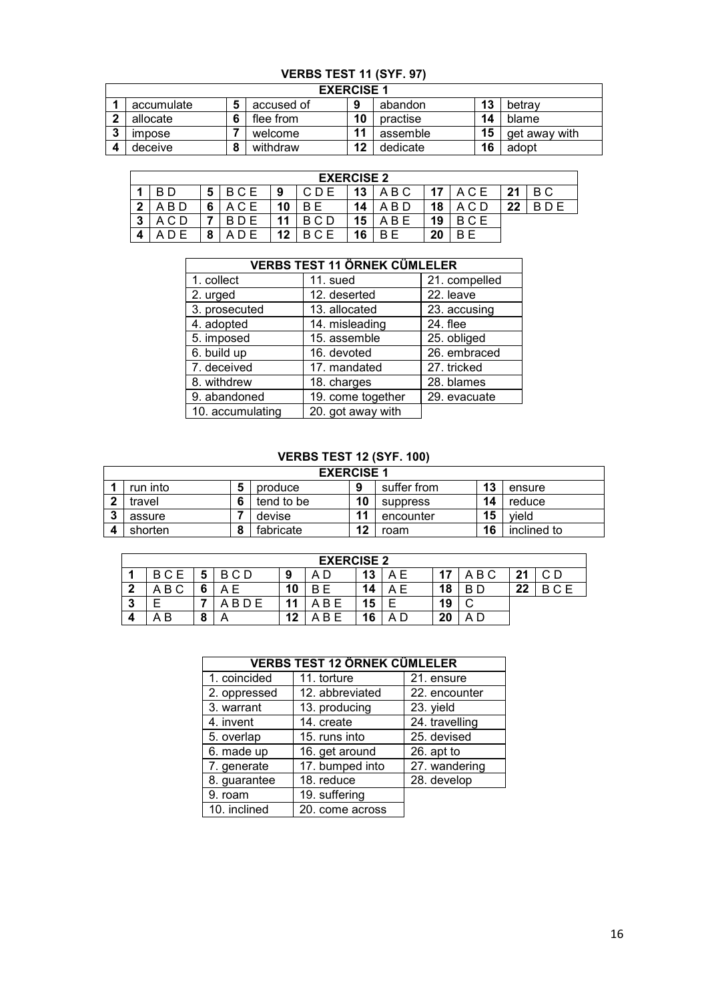# **VERBS TEST 11 (SYF. 97)**

|   |                      |   | <b>EXERCISE 1</b> |    |          |    |               |
|---|----------------------|---|-------------------|----|----------|----|---------------|
|   | accumulate           |   | accused of        | 9  | abandon  | 13 | betray        |
| ົ | allocate             |   | flee from         | 10 | practise | 14 | blame         |
| ≏ | <i><b>Impose</b></i> |   | welcome           | 11 | assemble | 15 | get away with |
|   | deceive              | о | withdraw          | 12 | dedicate | 16 | adopt         |

|   | <b>EXERCISE 2</b> |   |     |    |            |    |     |    |       |    |     |  |  |  |
|---|-------------------|---|-----|----|------------|----|-----|----|-------|----|-----|--|--|--|
|   | B D               | 5 | BCE | 9  | CDE        | 13 | ABC | 17 | ACE   | 21 | B C |  |  |  |
| າ | A B D             | 6 | ACE | 10 | B F        | 14 | B D | 18 |       | 22 |     |  |  |  |
| 2 | ACD               |   |     |    | BCD        | 15 | B E | 19 | B C E |    |     |  |  |  |
|   |                   | 8 |     | 12 | <b>BCE</b> | 16 | B F | 20 | R F   |    |     |  |  |  |

|                  | <b>VERBS TEST 11 ÖRNEK CÜMLELER</b> |               |  |  |  |  |  |  |  |  |  |
|------------------|-------------------------------------|---------------|--|--|--|--|--|--|--|--|--|
| 1. collect       | 11. sued                            | 21. compelled |  |  |  |  |  |  |  |  |  |
| 2. urged         | 12. deserted                        | 22. leave     |  |  |  |  |  |  |  |  |  |
| 3. prosecuted    | 13. allocated                       | 23. accusing  |  |  |  |  |  |  |  |  |  |
| 4. adopted       | 14. misleading                      | 24. flee      |  |  |  |  |  |  |  |  |  |
| 5. imposed       | 15. assemble                        | 25. obliged   |  |  |  |  |  |  |  |  |  |
| 6. build up      | 16. devoted                         | 26. embraced  |  |  |  |  |  |  |  |  |  |
| 7. deceived      | 17. mandated                        | 27. tricked   |  |  |  |  |  |  |  |  |  |
| 8. withdrew      | 18. charges                         | 28. blames    |  |  |  |  |  |  |  |  |  |
| 9. abandoned     | 19. come together                   | 29. evacuate  |  |  |  |  |  |  |  |  |  |
| 10. accumulating | 20. got away with                   |               |  |  |  |  |  |  |  |  |  |

## **VERBS TEST 12 (SYF. 100)**

|   |          |   | <b>EXERCISE 1</b> |    |             |    |             |
|---|----------|---|-------------------|----|-------------|----|-------------|
|   | run into | 5 | produce           | 9  | suffer from | 13 | ensure      |
|   | travel   | 6 | tend to be        | 10 | suppress    | 14 | reduce      |
| ≏ | assure   |   | devise            | 11 | encounter   | 15 | vield       |
|   | shorten  | 8 | fabricate         | 12 | roam        | 16 | inclined to |

|        | <b>EXERCISE 2</b> |           |            |    |        |    |    |    |        |    |            |  |  |
|--------|-------------------|-----------|------------|----|--------|----|----|----|--------|----|------------|--|--|
|        | BCE               | 5         | B C D      | 9  | D<br>А | 13 | ΑE |    | A B C  | 21 | C D        |  |  |
| ◠<br>- | B C<br>А          | 6         | $\Delta$   | 10 | B<br>E | 14 | ΑE | 18 | B D    | 22 | <b>RCF</b> |  |  |
| 3      |                   |           | <b>BDE</b> | 11 | B E    | 15 |    | 19 | ⌒<br>ັ |    |            |  |  |
| Λ      | В<br>A            | $\bullet$ |            | 12 | R F    | 16 |    | 20 | A D    |    |            |  |  |

|              | <b>VERBS TEST 12 ÖRNEK CÜMLELER</b> |                |
|--------------|-------------------------------------|----------------|
| 1. coincided | 11. torture                         | 21. ensure     |
| 2. oppressed | 12. abbreviated                     | 22. encounter  |
| 3. warrant   | 13. producing                       | 23. yield      |
| 4. invent    | 14. create                          | 24. travelling |
| 5. overlap   | 15. runs into                       | 25. devised    |
| 6. made up   | 16. get around                      | 26. apt to     |
| 7. generate  | 17. bumped into                     | 27. wandering  |
| 8. guarantee | 18. reduce                          | 28. develop    |
| 9. roam      | 19. suffering                       |                |
| 10. inclined | 20. come across                     |                |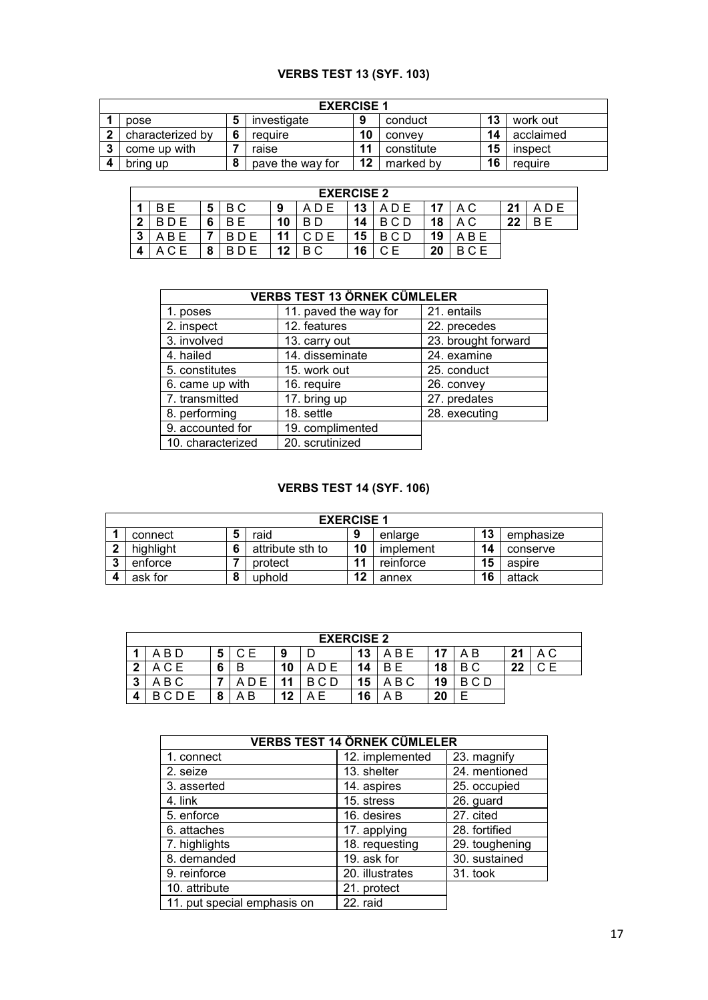#### **VERBS TEST 13 (SYF. 103)**

|   | <b>EXERCISE 1</b>                                          |         |                  |        |            |           |         |  |  |  |  |  |  |
|---|------------------------------------------------------------|---------|------------------|--------|------------|-----------|---------|--|--|--|--|--|--|
|   | 13<br>investigate<br>work out<br>conduct<br>9<br>pose<br>э |         |                  |        |            |           |         |  |  |  |  |  |  |
| ົ | characterized by                                           | reauire | 10               | convey | 14         | acclaimed |         |  |  |  |  |  |  |
| ◠ | come up with                                               |         | raise            |        | constitute | 15        | inspect |  |  |  |  |  |  |
|   | bring up                                                   | О<br>o  | pave the way for | 12     | marked by  | 16        | require |  |  |  |  |  |  |

|    | <b>EXERCISE 2</b> |   |        |    |    |    |                    |    |     |    |     |  |  |  |
|----|-------------------|---|--------|----|----|----|--------------------|----|-----|----|-----|--|--|--|
|    |                   | 5 | B C    | 9  |    | 13 | ADE                | 47 | A C | າາ | D E |  |  |  |
| כי |                   | 6 | F<br>B | 10 | R. | 14 | $\cap$ $\cap$<br>в | 18 | ΑC  | 22 | B F |  |  |  |
| 3  |                   |   |        |    |    | 15 | C D<br>В           | 19 | B E |    |     |  |  |  |
| 4  |                   |   |        | 12 | ВC | 16 |                    | 20 |     |    |     |  |  |  |

|                   | <b>VERBS TEST 13 ÖRNEK CÜMLELER</b> |                     |
|-------------------|-------------------------------------|---------------------|
| 1. poses          | 11. paved the way for               | 21. entails         |
| 2. inspect        | 12. features                        | 22. precedes        |
| 3. involved       | 13. carry out                       | 23. brought forward |
| 4. hailed         | 14. disseminate                     | 24. examine         |
| 5. constitutes    | 15. work out                        | 25. conduct         |
| 6. came up with   | 16. require                         | 26. convey          |
| 7. transmitted    | 17. bring up                        | 27. predates        |
| 8. performing     | 18. settle                          | 28. executing       |
| 9. accounted for  | 19. complimented                    |                     |
| 10. characterized | 20. scrutinized                     |                     |

#### **VERBS TEST 14 (SYF. 106)**

|                                                    |           |  | <b>EXERCISE 1</b> |    |           |    |          |  |
|----------------------------------------------------|-----------|--|-------------------|----|-----------|----|----------|--|
| 13<br>9<br>raid<br>connect<br>emphasize<br>enlarge |           |  |                   |    |           |    |          |  |
| י                                                  | highlight |  | attribute sth to  | 10 | implement | 14 | conserve |  |
| .,                                                 | enforce   |  | protect           | 11 | reinforce | 15 | aspire   |  |
|                                                    | ask for   |  | uphold            | 12 | annex     | 16 | attack   |  |

|   | <b>EXERCISE 2</b> |   |     |    |  |    |       |           |     |    |      |  |  |  |
|---|-------------------|---|-----|----|--|----|-------|-----------|-----|----|------|--|--|--|
|   | A B D             | 5 | C E | 9  |  | 13 | A B E | <b>17</b> | ΑB  | 21 | A C  |  |  |  |
| ◠ | CЕ                | 6 |     | 10 |  | 14 | R F   | 18        | ВC  | 22 | C E. |  |  |  |
| 2 | A B C             |   |     | 44 |  | 15 | A B C | 19        | BCD |    |      |  |  |  |
|   |                   | 8 | ۰B  | 12 |  | 16 | ΑB    | 20        |     |    |      |  |  |  |

|                             | <b>VERBS TEST 14 ÖRNEK CÜMLELER</b> |                |
|-----------------------------|-------------------------------------|----------------|
| 1. connect                  | 12. implemented                     | 23. magnify    |
| 2. seize                    | 13. shelter                         | 24. mentioned  |
| 3. asserted                 | 14. aspires                         | 25. occupied   |
| 4. link                     | 15. stress                          | 26. guard      |
| 5. enforce                  | 16. desires                         | 27. cited      |
| 6. attaches                 | 17. applying                        | 28. fortified  |
| 7. highlights               | 18. requesting                      | 29. toughening |
| 8. demanded                 | 19. ask for                         | 30. sustained  |
| 9. reinforce                | 20. illustrates                     | 31. took       |
| 10. attribute               | 21. protect                         |                |
| 11. put special emphasis on | 22. raid                            |                |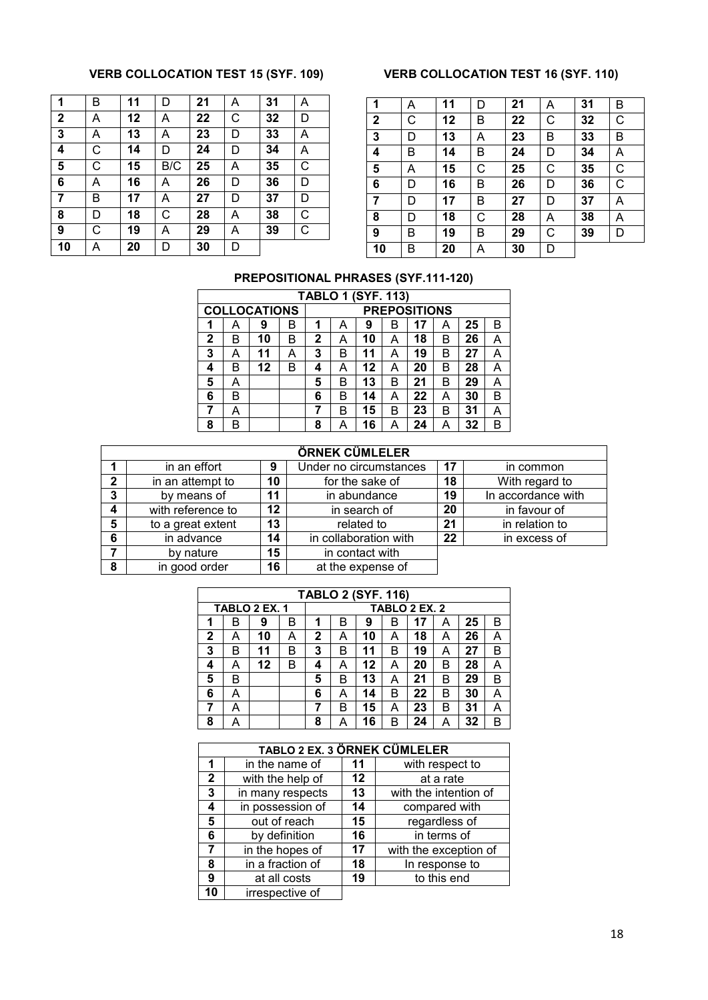#### **VERB COLLOCATION TEST 15 (SYF. 109) VERB COLLOCATION TEST 16 (SYF. 110)**

| $\overline{1}$ | B | 11 | D   | 21 | Α | 31 | Α            |
|----------------|---|----|-----|----|---|----|--------------|
| $\mathbf{2}$   | Α | 12 | Α   | 22 | C | 32 | D            |
| 3              | А | 13 | Α   | 23 | D | 33 | A            |
| 4              | С | 14 | D   | 24 | D | 34 | Α            |
| 5              | C | 15 | B/C | 25 | Α | 35 | $\mathsf{C}$ |
| 6              | Α | 16 | Α   | 26 | D | 36 | D            |
| $\overline{7}$ | B | 17 | Α   | 27 | D | 37 | D            |
| 8              | D | 18 | C   | 28 | Α | 38 | С            |
| 9              | С | 19 | Α   | 29 | Α | 39 | С            |
| 10             | A | 20 | D   | 30 | D |    |              |

| 1           | Α | 11 | D | 21 | Α | 31 | В           |
|-------------|---|----|---|----|---|----|-------------|
| $\mathbf 2$ | C | 12 | B | 22 | С | 32 | C           |
| 3           | D | 13 | Α | 23 | В | 33 | B           |
| 4           | В | 14 | В | 24 | D | 34 | Α           |
| 5           | A | 15 | C | 25 | C | 35 | $\mathsf C$ |
| 6           | D | 16 | В | 26 | D | 36 | C           |
| 7           | D | 17 | В | 27 | D | 37 | A           |
| 8           | D | 18 | C | 28 | Α | 38 | Α           |
| 9           | B | 19 | В | 29 | C | 39 | D           |
| 10          | В | 20 | Α | 30 | D |    |             |

#### **PREPOSITIONAL PHRASES (SYF.111-120)**

|   |   |                     |   |   |                     | <b>TABLO 1 (SYF. 113)</b> |   |    |   |    |   |
|---|---|---------------------|---|---|---------------------|---------------------------|---|----|---|----|---|
|   |   | <b>COLLOCATIONS</b> |   |   | <b>PREPOSITIONS</b> |                           |   |    |   |    |   |
| 1 | А | 9                   | в | 1 | А                   | 9                         | B | 17 | А | 25 | B |
| 2 | В | 10                  | в | 2 | А                   | 10                        | A | 18 | B | 26 | Α |
| 3 | А | 11                  | A | 3 | в                   | 11                        | А | 19 | B | 27 | Α |
| 4 | B | 12                  | B | 4 | А                   | 12                        | A | 20 | B | 28 | A |
| 5 | A |                     |   | 5 | B                   | 13                        | B | 21 | B | 29 | Α |
| 6 | в |                     |   | 6 | в                   | 14                        | A | 22 | А | 30 | B |
| 7 | A |                     |   | 7 | B                   | 15                        | B | 23 | B | 31 | А |
| 8 | B |                     |   | 8 | А                   | 16                        | A | 24 | А | 32 | B |

|              |                        |    | ÖRNEK CÜMLELER         |    |                    |
|--------------|------------------------|----|------------------------|----|--------------------|
|              | in an effort           | 9  | Under no circumstances | 17 | in common          |
| $\mathbf{2}$ | 10<br>in an attempt to |    | for the sake of        | 18 | With regard to     |
| 3            | by means of            | 11 | in abundance           | 19 | In accordance with |
| 4            | with reference to      | 12 | in search of           | 20 | in favour of       |
| 5            | to a great extent      | 13 | related to             | 21 | in relation to     |
| 6            | in advance             | 14 | in collaboration with  | 22 | in excess of       |
|              | by nature              | 15 | in contact with        |    |                    |
| 8            | in good order          | 16 | at the expense of      |    |                    |

|              |   |               |   |   |                                   | <b>TABLO 2 (SYF. 116)</b> |   |               |   |    |   |  |
|--------------|---|---------------|---|---|-----------------------------------|---------------------------|---|---------------|---|----|---|--|
|              |   | TABLO 2 EX. 1 |   |   |                                   |                           |   | TABLO 2 EX. 2 |   |    |   |  |
| 1            | B | 9             | B | 1 | 25<br>17<br>B<br>9<br>в<br>в<br>А |                           |   |               |   |    |   |  |
| $\mathbf{2}$ | A | 10            | А | 2 | A                                 | 10                        | A | 18            | А | 26 | Α |  |
| 3            | B | 11            | B | 3 | В                                 | 11                        | B | 19            | А | 27 | в |  |
| 4            | А | 12            | B | 4 | А                                 | 12                        | А | 20            | B | 28 | Α |  |
| 5            | B |               |   | 5 | В                                 | 13                        | A | 21            | В | 29 | в |  |
| 6            | A |               |   | 6 | A                                 | 14                        | B | 22            | B | 30 | А |  |
| 7            | A |               |   |   | B                                 | 15                        | A | 23            | B | 31 | А |  |
| 8            | А |               |   | 8 | А                                 | 16                        | В | 24            | А | 32 | в |  |

|              | TABLO 2 EX. 3 ÖRNEK CÜMLELER |         |                       |  |  |  |  |  |  |  |
|--------------|------------------------------|---------|-----------------------|--|--|--|--|--|--|--|
| 1            | in the name of               | 11      | with respect to       |  |  |  |  |  |  |  |
| $\mathbf{2}$ | with the help of             | $12 \,$ | at a rate             |  |  |  |  |  |  |  |
| 3            | in many respects             | 13      | with the intention of |  |  |  |  |  |  |  |
| 4            | in possession of             | 14      | compared with         |  |  |  |  |  |  |  |
| 5            | out of reach                 | 15      | regardless of         |  |  |  |  |  |  |  |
| 6            | by definition                | 16      | in terms of           |  |  |  |  |  |  |  |
| 7            | in the hopes of              | 17      | with the exception of |  |  |  |  |  |  |  |
| 8            | in a fraction of             | 18      | In response to        |  |  |  |  |  |  |  |
| 9            | at all costs                 | 19      | to this end           |  |  |  |  |  |  |  |
| 10           | irrespective of              |         |                       |  |  |  |  |  |  |  |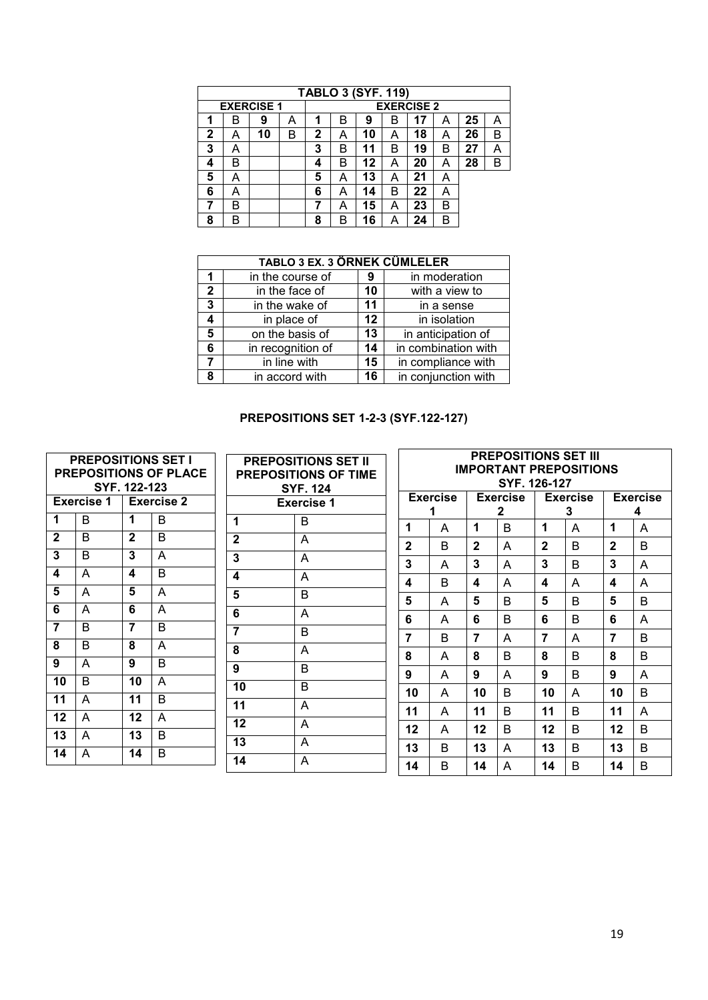|   | <b>TABLO 3 (SYF. 119)</b>              |    |   |   |   |    |   |    |   |    |   |  |
|---|----------------------------------------|----|---|---|---|----|---|----|---|----|---|--|
|   | <b>EXERCISE 2</b><br><b>EXERCISE 1</b> |    |   |   |   |    |   |    |   |    |   |  |
|   | в                                      | 9  | А | 1 | R | 9  | в | 17 | А | 25 | А |  |
| 2 | A                                      | 10 | В | 2 |   | 10 | А | 18 | A | 26 | В |  |
| 3 | A                                      |    |   | 3 | в | 11 | B | 19 | B | 27 |   |  |
| 4 | B                                      |    |   | 4 | B | 12 | А | 20 | А | 28 | B |  |
| 5 | A                                      |    |   | 5 | A | 13 | А | 21 | A |    |   |  |
| 6 | А                                      |    |   | 6 | A | 14 | В | 22 | А |    |   |  |
|   | в                                      |    |   |   | A | 15 | А | 23 | B |    |   |  |
| 8 | B                                      |    |   | 8 | B | 16 | Α | 24 | B |    |   |  |

|                | <b>TABLO 3 EX. 3 ÖRNEK CÜMLELER</b> |         |                     |  |  |  |  |  |  |  |  |
|----------------|-------------------------------------|---------|---------------------|--|--|--|--|--|--|--|--|
|                | in the course of                    | 9       | in moderation       |  |  |  |  |  |  |  |  |
| $\overline{2}$ | in the face of                      | 10      | with a view to      |  |  |  |  |  |  |  |  |
| 3              | in the wake of                      | 11      | in a sense          |  |  |  |  |  |  |  |  |
|                | in place of                         | $12 \,$ | in isolation        |  |  |  |  |  |  |  |  |
| 5              | on the basis of                     | 13      | in anticipation of  |  |  |  |  |  |  |  |  |
| 6              | in recognition of                   | 14      | in combination with |  |  |  |  |  |  |  |  |
|                | in line with                        | 15      | in compliance with  |  |  |  |  |  |  |  |  |
| Ջ              | in accord with                      | 16      | in conjunction with |  |  |  |  |  |  |  |  |

#### **PREPOSITIONS SET 1-2-3 (SYF.122-127)**

| <b>PREPOSITIONS SET I</b><br><b>PREPOSITIONS OF PLACE</b><br>SYF. 122-123 |                   |              |                   | <b>PREPOSITIONS SET II</b><br><b>PREPOSITIONS OF TIME</b><br><b>SYF. 124</b> |                   | <b>PREPOSITIONS SET III</b><br><b>IMPORTANT PREPOSITIONS</b><br>SYF. 126-127 |                 |         |                      |                      |              |                 |        |  |
|---------------------------------------------------------------------------|-------------------|--------------|-------------------|------------------------------------------------------------------------------|-------------------|------------------------------------------------------------------------------|-----------------|---------|----------------------|----------------------|--------------|-----------------|--------|--|
|                                                                           | <b>Exercise 1</b> |              | <b>Exercise 2</b> |                                                                              | <b>Exercise 1</b> |                                                                              | <b>Exercise</b> |         | <b>Exercise</b><br>2 | <b>Exercise</b><br>3 |              | <b>Exercise</b> |        |  |
| 1                                                                         | B                 | 1            | B                 | 1                                                                            | B                 | 1                                                                            | A               | 1       | <sub>R</sub>         | 1                    | A            | 1               | 4<br>A |  |
| $\mathbf{2}$                                                              | B                 | $\mathbf{2}$ | B                 | $\mathbf{2}$                                                                 | A                 | $\mathbf{2}$                                                                 | <sub>B</sub>    | 2       | A                    | $\mathbf{2}$         | B.           | $\mathbf{2}$    | B      |  |
| 3                                                                         | B                 | 3            | A                 | 3                                                                            | $\overline{A}$    | 3                                                                            | A               | 3       | A                    | 3                    | B            | 3               | A      |  |
| 4                                                                         | A                 | 4            | B                 | 4                                                                            | A                 | $\overline{\mathbf{4}}$                                                      | <sub>B</sub>    | 4       | A                    | 4                    | A            | 4               | A      |  |
| 5                                                                         | A                 | 5            | A                 | 5                                                                            | B                 | 5                                                                            | A               | 5       | <sub>R</sub>         | 5                    | <sub>R</sub> | 5               | B      |  |
| 6                                                                         | A                 | 6            | A                 | 6                                                                            | $\overline{A}$    | 6                                                                            | A               | 6       | B                    | 6                    | B            | 6               | A      |  |
| 7                                                                         | B                 | 7            | B                 | $\overline{7}$                                                               | B                 | 7                                                                            | B               | 7       | A                    | 7                    | A            | 7               | B      |  |
| 8                                                                         | B                 | 8            | A                 | 8                                                                            | $\overline{A}$    | 8                                                                            |                 | 8       | B                    | 8                    | B.           | 8               | B      |  |
| 9                                                                         | A                 | 9            | B                 | 9                                                                            | B                 |                                                                              | A               |         |                      |                      |              |                 |        |  |
| 10                                                                        | B                 | 10           | A                 | 10                                                                           | B                 | 9                                                                            | A               | 9       | A                    | 9                    | <sub>R</sub> | 9               | A      |  |
| 11                                                                        | A                 | 11           | B                 | 11                                                                           | $\overline{A}$    | 10                                                                           | A               | 10      | B                    | 10                   | A            | 10              | B      |  |
| 12                                                                        | A                 | 12           | A                 | 12                                                                           | $\overline{A}$    | 11                                                                           | A               | 11      | B                    | 11                   | B.           | 11              | A      |  |
| 13                                                                        | A                 | 13           | B                 |                                                                              |                   | $12 \,$                                                                      | A               | $12 \,$ | B                    | $12 \,$              | B.           | $12 \,$         | B      |  |
| 14                                                                        | A                 | 14           | B                 | 13                                                                           | $\overline{A}$    | 13                                                                           | <sub>B</sub>    | 13      | A                    | 13                   | B.           | 13              | B      |  |
|                                                                           |                   |              |                   | 14                                                                           | $\overline{A}$    | 14                                                                           | B               | 14      | A                    | 14                   | B            | 14              | B      |  |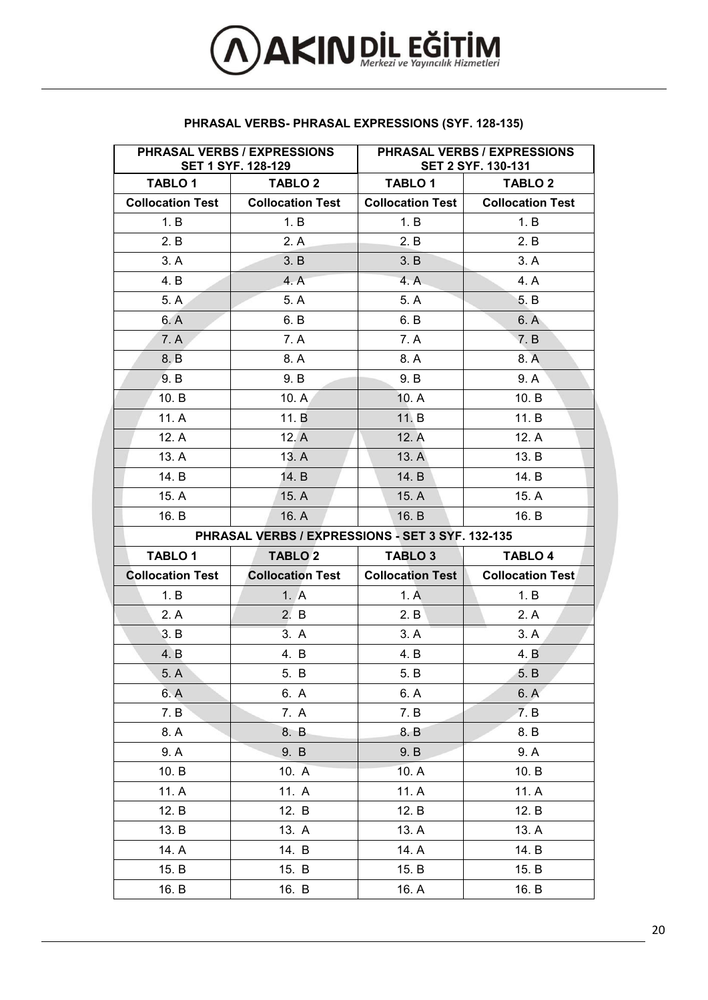

|                         | PHRASAL VERBS / EXPRESSIONS<br><b>SET 1 SYF. 128-129</b> |                         | PHRASAL VERBS / EXPRESSIONS<br><b>SET 2 SYF. 130-131</b> |
|-------------------------|----------------------------------------------------------|-------------------------|----------------------------------------------------------|
| <b>TABLO 1</b>          | <b>TABLO 2</b>                                           | TABLO 1                 | TABLO 2                                                  |
| <b>Collocation Test</b> | <b>Collocation Test</b>                                  | <b>Collocation Test</b> | <b>Collocation Test</b>                                  |
| 1. B                    | 1. B                                                     | 1. B                    | 1. B                                                     |
| 2. B                    | 2. A                                                     | 2. B                    | 2. B                                                     |
| 3. A                    | 3. B                                                     | 3. B                    | 3. A                                                     |
| 4. B                    | 4. A                                                     | 4. A                    | 4. A                                                     |
| 5. A                    | 5. A                                                     | 5. A                    | 5. B                                                     |
| 6. A                    | 6. B                                                     | 6. B                    | 6. A                                                     |
| 7. A                    | 7. A                                                     | 7. A                    | 7. B                                                     |
| 8. B                    | 8. A                                                     | 8. A                    | 8. A                                                     |
| 9. B                    | 9. B                                                     | 9. B                    | 9. A                                                     |
| 10. B                   | 10. A <sub>1</sub>                                       | 10. A                   | 10. B                                                    |
| 11. A                   | 11. B                                                    | 11. B                   | 11. B                                                    |
| 12. A                   | 12. A                                                    | 12. A                   | 12. A                                                    |
| 13. A                   | 13. A                                                    | 13. A                   | 13. B                                                    |
| 14. B                   | 14. B                                                    | 14. B                   | 14. B                                                    |
| 15. A                   | 15. A                                                    | 15. A                   | 15. A                                                    |
| 16. B                   | 16. A                                                    | 16. B                   | 16. B                                                    |
|                         | PHRASAL VERBS / EXPRESSIONS - SET 3 SYF. 132-135         |                         |                                                          |
| <b>TABLO1</b>           | <b>TABLO 2</b>                                           | TABLO 3                 | <b>TABLO 4</b>                                           |
| <b>Collocation Test</b> | <b>Collocation Test</b>                                  | <b>Collocation Test</b> | <b>Collocation Test</b>                                  |
| 1. B                    | 1. A                                                     | 1. A                    | 1. B                                                     |
| 2. A                    | 2. B                                                     | 2. B                    | 2. A                                                     |
| 3. B                    | 3. A                                                     | 3. A                    | 3. A                                                     |
| 4. B                    | 4. B                                                     | 4. B                    | 4. B                                                     |
| 5. A                    | 5. B                                                     | 5. B                    | 5. B                                                     |
| 6. A                    | 6. A                                                     | 6. A                    | 6. A                                                     |
| 7. B                    | 7. A                                                     | 7. B                    | 7. B                                                     |
| 8. A                    | 8. B                                                     | 8. B                    | 8. B                                                     |
| 9. A                    | 9. B                                                     | 9. B                    | 9. A                                                     |
| 10. B                   | 10. A                                                    | 10. A                   | 10. B                                                    |
| 11. A                   | 11. A                                                    | 11. A                   | 11. A                                                    |
| 12. B                   | 12. B                                                    | 12. B                   | 12. B                                                    |
| 13. B                   | 13. A                                                    | 13. A                   | 13. A                                                    |
| 14. A                   | 14. B                                                    | 14. A                   | 14. B                                                    |
| 15. B                   | 15. B                                                    | 15. B                   | 15. B                                                    |
| 16. B                   | 16. B                                                    | 16. A                   | 16. B                                                    |

#### **PHRASAL VERBS- PHRASAL EXPRESSIONS (SYF. 128-135)**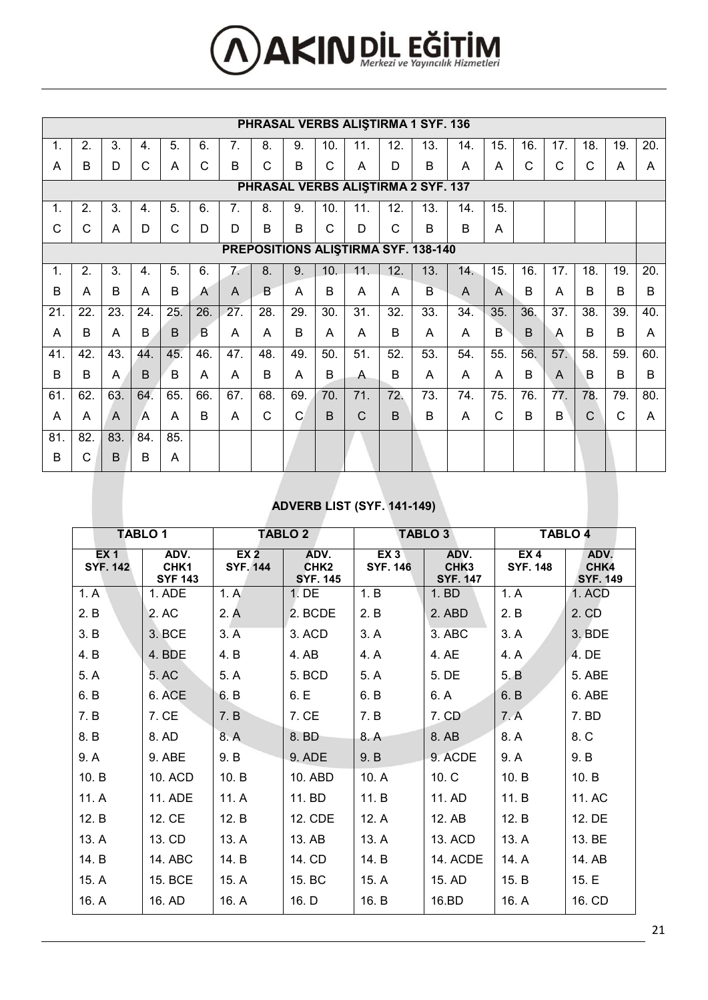# **AKIN DİL EĞİTİM**

|                                    | PHRASAL VERBS ALISTIRMA 1 SYF. 136 |     |                |     |     |     |     |              |     |     |              |                                     |     |                |             |                |              |              |     |
|------------------------------------|------------------------------------|-----|----------------|-----|-----|-----|-----|--------------|-----|-----|--------------|-------------------------------------|-----|----------------|-------------|----------------|--------------|--------------|-----|
| 1.                                 | 2.                                 | 3.  | 4.             | 5.  | 6.  | 7.  | 8.  | 9.           | 10. | 11. | 12.          | 13.                                 | 14. | 15.            | 16.         | 17.            | 18.          | 19.          | 20. |
| A                                  | B                                  | D   | C              | A   | C   | B   | C   | B            | C   | Α   | D            | B                                   | A   | A              | C           | C              | $\mathsf{C}$ | A            | A   |
| PHRASAL VERBS ALISTIRMA 2 SYF. 137 |                                    |     |                |     |     |     |     |              |     |     |              |                                     |     |                |             |                |              |              |     |
| $\mathbf{1}$ .                     | 2.                                 | 3.  | 4.             | 5.  | 6.  | 7.  | 8.  | 9.           | 10. | 11. | 12.          | 13.                                 | 14. | 15.            |             |                |              |              |     |
| C                                  | C                                  | A   | D              | C   | D   | D   | B   | B            | C   | D   | $\mathsf{C}$ | B                                   | B   | A              |             |                |              |              |     |
|                                    |                                    |     |                |     |     |     |     |              |     |     |              | PREPOSITIONS ALISTIRMA SYF. 138-140 |     |                |             |                |              |              |     |
| $\mathbf{1}$ .                     | 2.                                 | 3.  | 4.             | 5.  | 6.  | 7.  | 8.  | 9.           | 10. | 11. | 12.          | 13.                                 | 14. | 15.            | 16.         | 17.            | 18.          | 19.          | 20. |
| B                                  | A                                  | B   | A              | B   | A   | A   | B   | A            | B   | A   | A            | B                                   | A   | $\mathsf{A}$   | B           | A              | B            | B            | B   |
| 21.                                | 22.                                | 23. | 24.            | 25. | 26. | 27. | 28. | 29.          | 30. | 31. | 32.          | 33.                                 | 34. | 35.            | 36.         | 37.            | 38.          | 39.          | 40. |
| A                                  | B                                  | A   | B              | B   | B   | A   | A   | B            | A   | A   | B            | A                                   | A   | $\overline{B}$ | $\mathsf B$ | $\overline{A}$ | B            | B            | A   |
| 41.                                | 42.                                | 43. | 44.            | 45. | 46. | 47. | 48. | 49.          | 50. | 51. | 52.          | 53.                                 | 54. | 55.            | 56.         | 57.            | 58.          | 59.          | 60. |
| B                                  | B                                  | A   | B              | B   | A   | A   | B   | A            | B   | A   | B            | A                                   | A   | A              | B           | $\mathsf{A}$   | B            | B            | B   |
| 61.                                | 62.                                | 63. | 64.            | 65. | 66. | 67. | 68. | 69.          | 70. | 71. | 72.          | 73.                                 | 74. | 75.            | 76.         | 77.            | 78.          | 79.          | 80. |
| A                                  | A                                  | A   | $\overline{A}$ | A   | B   | A   | C   | $\mathsf{C}$ | B   | C   | B            | B                                   | A   | C              | B           | B              | $\mathsf{C}$ | $\mathsf{C}$ | A   |
| 81.                                | 82.                                | 83. | 84.            | 85. |     |     |     |              |     |     |              |                                     |     |                |             |                |              |              |     |
| B                                  | C                                  | B   | B              | A   |     |     |     |              |     |     |              |                                     |     |                |             |                |              |              |     |

# **ADVERB LIST (SYF. 141-149)**

| <b>TABLO1</b>           |                                |                                    | <b>TABLO 2</b>                              |                                    | TABLO 3                                     | TABLO 4                            |                                 |  |
|-------------------------|--------------------------------|------------------------------------|---------------------------------------------|------------------------------------|---------------------------------------------|------------------------------------|---------------------------------|--|
| EX 1<br><b>SYF. 142</b> | ADV.<br>CHK1<br><b>SYF 143</b> | EX <sub>2</sub><br><b>SYF. 144</b> | ADV.<br>CHK <sub>2</sub><br><b>SYF. 145</b> | EX <sub>3</sub><br><b>SYF. 146</b> | ADV.<br>CHK <sub>3</sub><br><b>SYF. 147</b> | EX <sub>4</sub><br><b>SYF. 148</b> | ADV.<br>CHK4<br><b>SYF. 149</b> |  |
| 1. A                    | 1. ADE                         | 1. A                               | $1.$ DE                                     | 1. B                               | 1. BD                                       | 1. A                               | 1. ACD                          |  |
| 2. B                    | 2. AC                          | 2. A                               | 2. BCDE                                     | 2. B                               | 2. ABD                                      | 2. B                               | 2. CD                           |  |
| 3. B                    | 3. BCE                         | 3. A                               | 3. ACD                                      | 3. A                               | 3. ABC                                      | 3. A                               | 3. BDE                          |  |
| 4. B                    | 4. BDE                         | 4. B                               | 4. AB                                       | 4. A                               | 4. AE                                       | 4. A                               | 4. DE                           |  |
| 5. A                    | 5. AC                          | 5. A                               | 5. BCD                                      | 5. A                               | 5. DE                                       | 5. B                               | 5. ABE                          |  |
| 6. B                    | 6. ACE                         | 6. B                               | 6. E                                        | 6. B                               | 6. A                                        | 6. B                               | 6. ABE                          |  |
| 7. B                    | 7. CE                          | 7. B                               | 7. CE                                       | 7. B                               | 7. CD                                       | 7.A                                | 7. BD                           |  |
| 8. B                    | 8. AD                          | 8. A                               | 8. BD                                       | 8. A                               | 8. AB                                       | 8. A                               | 8. C                            |  |
| 9. A                    | 9. ABE                         | 9. B                               | 9. ADE                                      | 9. B                               | 9. ACDE                                     | 9. A                               | 9. B                            |  |
| 10. B                   | 10. ACD                        | 10. B                              | 10. ABD                                     | 10. A                              | 10. C                                       | 10. B                              | 10. B                           |  |
| 11. A                   | 11. ADE                        | 11. A                              | 11. BD                                      | 11. B                              | 11. AD                                      | 11. B                              | 11. AC                          |  |
| 12. B                   | 12. CE                         | 12. B                              | 12. CDE                                     | 12. A                              | 12. AB                                      | 12. B                              | 12. DE                          |  |
| 13. A                   | 13. CD                         | 13. A                              | 13. AB                                      | 13. A                              | 13. ACD                                     | 13. A                              | 13. BE                          |  |
| 14. B                   | 14. ABC                        | 14. B                              | 14. CD                                      | 14. B                              | 14. ACDE                                    | 14. A                              | 14. AB                          |  |
| 15. A                   | 15. BCE                        | 15. A                              | 15. BC                                      | 15. A                              | 15. AD                                      | 15. B                              | 15.E                            |  |
| 16. A                   | 16. AD                         | 16. A                              | 16. D                                       | 16. B                              | 16.BD                                       | 16. A                              | 16. CD                          |  |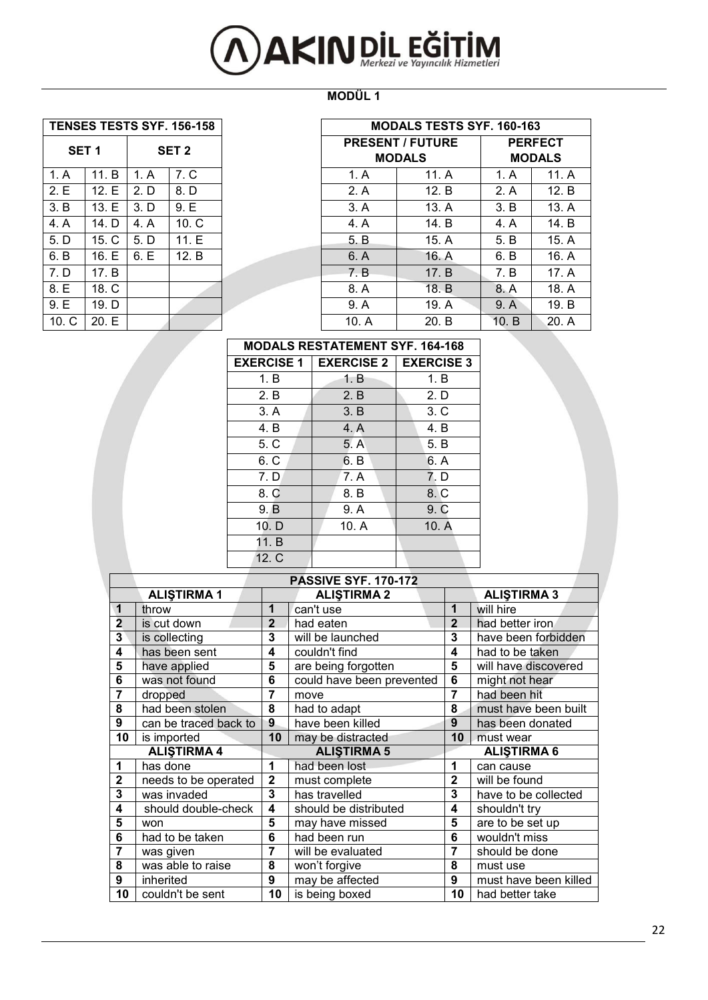# **AXIN DIL EĞİTİM**

#### **MODÜL 1**

| <b>TENSES TESTS SYF. 156-158</b> |  |
|----------------------------------|--|

| SET <sub>1</sub> |       |      | SET <sub>2</sub> |       | <b>PRESENT / FUTURE</b><br><b>MODALS</b> |
|------------------|-------|------|------------------|-------|------------------------------------------|
| 1. A             | 11. B | 1. A | 7. C             | 1. A  | 11. A                                    |
| 2.E              | 12. E | 2. D | 8. D             | 2. A  | 12. B                                    |
| 3. B             | 13. E | 3. D | 9. E             | 3. A  | 13. A                                    |
| 4. A             | 14. D | 4. A | 10. C            | 4. A  | 14. B                                    |
| 5. D             | 15. C | 5. D | 11. E            | 5. B  | 15. A                                    |
| 6. B             | 16. E | 6. E | 12. B            | 6. A  | 16. A                                    |
| 7. D             | 17. B |      |                  | 7. B  | 17. B                                    |
| 8. E             | 18. C |      |                  | 8. A  | 18. B                                    |
| 9. E             | 19. D |      |                  | 9. A  | 19. A                                    |
| 10. C            | 20. E |      |                  | 10. A | 20. B                                    |

| <b>TENSES TESTS SYF. 156-158</b>     |       |      |                         |                | <b>MODALS TESTS SYF. 160-163</b> |               |       |
|--------------------------------------|-------|------|-------------------------|----------------|----------------------------------|---------------|-------|
| SET <sub>1</sub><br>SET <sub>2</sub> |       |      | <b>PRESENT / FUTURE</b> | <b>PERFECT</b> |                                  |               |       |
|                                      |       |      |                         |                | <b>MODALS</b>                    | <b>MODALS</b> |       |
| 1. A                                 | 11. B | 1. A | 7. C                    | 1. A           | 11. A                            | 1. A          | 11. A |
| 2.E                                  | 12.E  | 2. D | 8. D                    | 2. A           | 12. B                            | 2. A          | 12. B |
| 3. B                                 | 13.E  | 3. D | 9.E                     | 3. A           | 13. A                            | 3. B          | 13. A |
| 4. A                                 | 14. D | 4. A | 10. C                   | 4. A           | 14. B                            | 4. A          | 14. B |
| 5. D                                 | 15. C | 5. D | 11. E                   | 5. B           | 15. A                            | 5. B          | 15. A |
| 6. B                                 | 16. E | 6.E  | 12. B                   | 6. A           | 16. A                            | 6. B          | 16. A |
| 7. D                                 | 17. B |      |                         | 7. B           | 17. B                            | 7. B          | 17. A |
| 8. E                                 | 18. C |      |                         | 8. A           | 18. B                            | 8. A          | 18. A |
| 9. E                                 | 19. D |      |                         | 9. A           | 19. A                            | 9. A          | 19. B |
| 10 <sub>c</sub>                      | 20.E  |      |                         | 10. A          | 20. B                            | 10. B         | 20. A |

#### **MODALS RESTATEMENT SYF. 164-168**  $\overline{\phantom{0}}$

 $\Gamma$ 

| <b>EXERCISE 1</b> | <b>EXERCISE 2</b> | <b>EXERCISE 3</b> |
|-------------------|-------------------|-------------------|
| 1. B              | 1. B              | 1. B              |
| 2. B              | 2. B              | 2. D              |
| 3. A              | 3. B              | 3. C              |
| 4. B              | 4. A              | 4. B              |
| 5. C              | 5. A              | 5. B              |
| 6. C              | 6. B              | 6. A              |
| 7. D              | 7. A              | 7. D              |
| 8. C              | 8. B              | 8.C               |
| 9. B              | 9. A              | 9C                |
| 10. D             | 10. A             | 10. A             |
| 11. B             |                   |                   |
| 12. C             |                   |                   |

|                         |                       |                | <b>PASSIVE SYF. 170-172</b> |                |                       |
|-------------------------|-----------------------|----------------|-----------------------------|----------------|-----------------------|
|                         | <b>ALISTIRMA1</b>     |                | <b>ALISTIRMA 2</b>          |                | <b>ALISTIRMA 3</b>    |
| 1                       | throw                 | 1              | can't use                   | 1              | will hire             |
| $\overline{\mathbf{2}}$ | is cut down           | $\overline{2}$ | had eaten                   | $\mathbf{2}$   | had better iron       |
| 3                       | is collecting         | 3              | will be launched            | 3              | have been forbidden   |
| 4                       | has been sent         | 4              | couldn't find               | 4              | had to be taken       |
| 5                       | have applied          | 5              | are being forgotten         | 5              | will have discovered  |
| 6                       | was not found         | 6              | could have been prevented   | 6              | might not hear        |
| 7                       | dropped               | 7              | move                        | $\overline{7}$ | had been hit          |
| 8                       | had been stolen       | 8              | had to adapt                | 8              | must have been built  |
| 9                       | can be traced back to | 9              | have been killed            | 9              | has been donated      |
| 10                      | is imported           | 10             | may be distracted           | 10             | must wear             |
|                         | <b>ALISTIRMA 4</b>    |                | <b>ALISTIRMA 5</b>          |                | <b>ALISTIRMA 6</b>    |
| 1                       | has done              | 1              | had been lost               | 1              | can cause             |
| $\mathbf{2}$            | needs to be operated  | $\mathbf{2}$   | must complete               | $\mathbf{2}$   | will be found         |
| 3                       | was invaded           | 3              | has travelled               | 3              | have to be collected  |
| 4                       | should double-check   | 4              | should be distributed       | 4              | shouldn't try         |
| 5                       | won                   | 5              | may have missed             | 5              | are to be set up      |
| 6                       | had to be taken       | 6              | had been run                | 6              | wouldn't miss         |
| 7                       | was given             | 7              | will be evaluated           | 7              | should be done        |
| 8                       | was able to raise     | 8              | won't forgive               | 8              | must use              |
| 9                       | inherited             | 9              | may be affected             | 9              | must have been killed |
| 10                      | couldn't be sent      | 10             | is being boxed              | 10             | had better take       |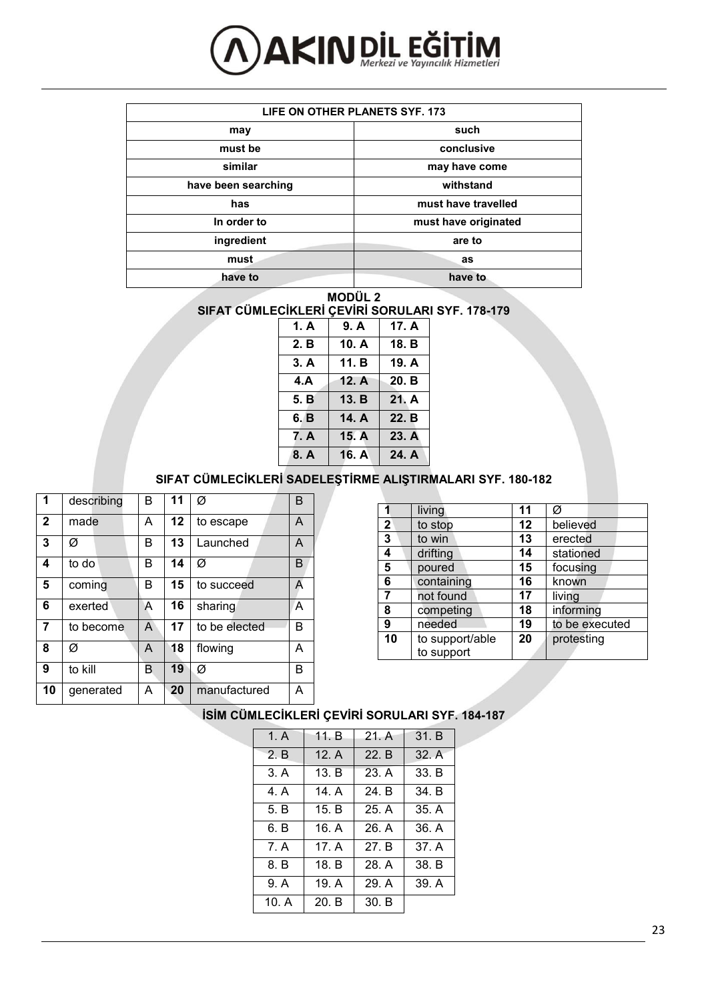

| LIFE ON OTHER PLANETS SYF. 173 |                      |  |  |  |  |  |  |
|--------------------------------|----------------------|--|--|--|--|--|--|
| may                            | such                 |  |  |  |  |  |  |
| must be                        | conclusive           |  |  |  |  |  |  |
| similar                        | may have come        |  |  |  |  |  |  |
| have been searching            | withstand            |  |  |  |  |  |  |
| has                            | must have travelled  |  |  |  |  |  |  |
| In order to                    | must have originated |  |  |  |  |  |  |
| ingredient                     | are to               |  |  |  |  |  |  |
| must.                          | as                   |  |  |  |  |  |  |
| have to                        | have to              |  |  |  |  |  |  |

**MODÜL 2** 

**SIFAT CÜMLECİKLERİ ÇEVİRİ SORULARI SYF. 178-179**

| 1. A | 9. A  | 17. A |
|------|-------|-------|
| 2. B | 10. A | 18. B |
| 3. A | 11. B | 19. A |
| 4.A  | 12. A | 20. B |
| 5. B | 13. B | 21. A |
| 6. B | 14. A | 22. B |
| 7. A | 15. A | 23. A |
| 8. A | 16. A | 24. A |

#### **SIFAT CÜMLECİKLERİ SADELEŞTİRME ALIŞTIRMALARI SYF. 180-182**

| 1            | describing | в | 11      | Ø             | В |
|--------------|------------|---|---------|---------------|---|
| $\mathbf{2}$ | made       | A | $12 \,$ | to escape     | A |
| 3            | Ø          | в | 13      | Launched      | A |
| 4            | to do      | в | 14      | Ø             | в |
| 5            | coming     | в | 15      | to succeed    | А |
| 6            | exerted    | A | 16      | sharing       | A |
| 7            | to become  | A | 17      | to be elected | в |
| 8            | Ø          | A | 18      | flowing       | А |
| 9            | to kill    | в | 19      | Ø             | в |
| 10           | qenerated  | А | 20      | manufactured  | А |

|                | living          | 11 | Ø              |
|----------------|-----------------|----|----------------|
| $\overline{2}$ | to stop         | 12 | believed       |
| 3              | to win          | 13 | erected        |
| 4              | drifting        | 14 | stationed      |
| 5              | poured          | 15 | focusing       |
| 6              | containing      | 16 | known          |
| 7              | not found       | 17 | living         |
| 8              | competing       | 18 | informing      |
| 9              | needed          | 19 | to be executed |
| 10             | to support/able | 20 | protesting     |
|                | to support      |    |                |

#### **İSİM CÜMLECİKLERİ ÇEVİRİ SORULARI SYF. 184-187**

| 1. A  | 11. B | 21. A | 31. B |
|-------|-------|-------|-------|
| 2. B  | 12. A | 22. B | 32. A |
| 3. A  | 13. B | 23. A | 33. B |
| 4. A  | 14. A | 24. B | 34. B |
| 5. B  | 15. B | 25. A | 35. A |
| 6. B  | 16. A | 26. A | 36. A |
| 7. A  | 17. A | 27. B | 37. A |
| 8. B  | 18. B | 28. A | 38. B |
| 9. A  | 19. A | 29. A | 39. A |
| 10. A | 20. B | 30. B |       |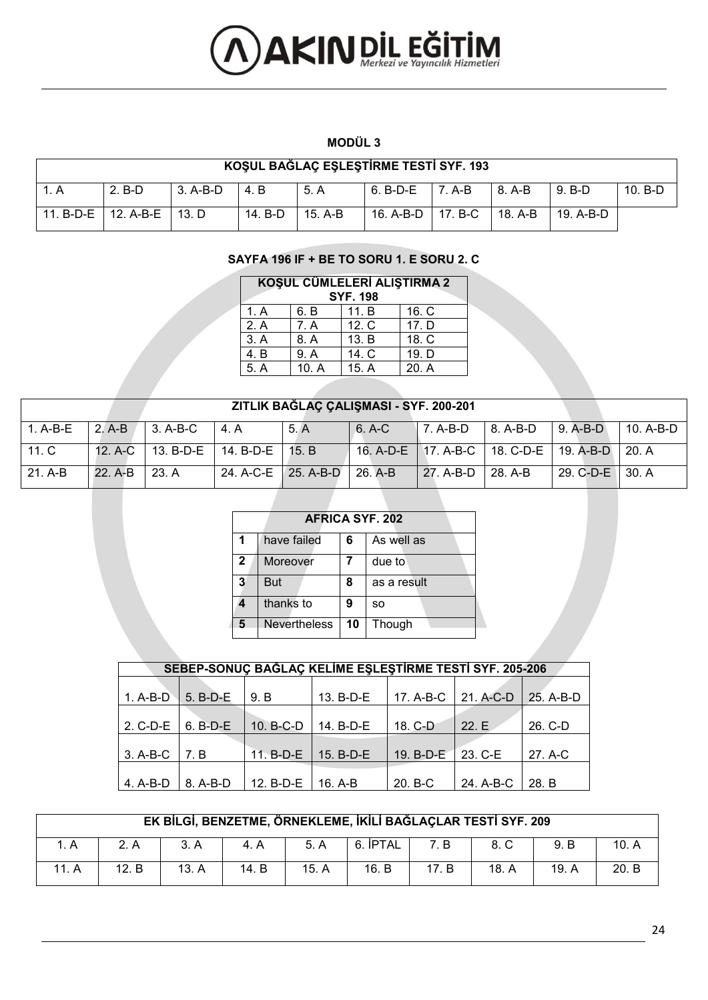# **AXIN DIL EĞİTİM**

#### **MODÜL 3**

|           | KOŞUL BAĞLAÇ EŞLEŞTİRME TESTİ SYF. 193 |          |         |           |                     |        |                |           |           |  |  |  |  |
|-----------|----------------------------------------|----------|---------|-----------|---------------------|--------|----------------|-----------|-----------|--|--|--|--|
|           | $2. B-D$                               | 3. A-B-D | 14.B    | -5. A     | 6. B-D-E            | 7. A-B | $\vert$ 8. A-B | 9. B-D    | $10. B-D$ |  |  |  |  |
| 11. B-D-E | 12. A-B-E I                            | 13. D    | 14. B-D | $15. A-B$ | 16. A-B-D   17. B-C |        | 18. A-B        | 19. A-B-D |           |  |  |  |  |

#### **SAYFA 196 IF + BE TO SORU 1. E SORU 2. C**

| KOŞUL CÜMLELERİ ALIŞTIRMA 2<br><b>SYF. 198</b> |      |       |       |  |  |  |  |  |  |  |
|------------------------------------------------|------|-------|-------|--|--|--|--|--|--|--|
| 1. A                                           | 6. B | 11. B | 16. C |  |  |  |  |  |  |  |
| 2. A                                           | 7. A | 12. C | 17. D |  |  |  |  |  |  |  |
| 3. A                                           | 8. A | 13. B | 18. C |  |  |  |  |  |  |  |
| 4. B                                           | 9. A | 14. C | 19. D |  |  |  |  |  |  |  |
| 5. A                                           | 10.A | 15. A | 20. A |  |  |  |  |  |  |  |

#### **ZITLIK BAĞLAÇ ÇALIŞMASI - SYF. 200-201**

|           |                 | $1. A-B-E$ 2.A-B 3.A-B-C 4.A            |                               | 5. A | $6. A-C$ |                      | $\parallel$ 7. A-B-D $\parallel$ 8. A-B-D $\parallel$ 9. A-B-D $\parallel$ 10. A-B-D |  |
|-----------|-----------------|-----------------------------------------|-------------------------------|------|----------|----------------------|--------------------------------------------------------------------------------------|--|
| 11. C     |                 | 12. A-C   13. B-D-E   14. B-D-E   15. B |                               |      |          |                      | 16. A-D-E   17. A-B-C   18. C-D-E   19. A-B-D   20. A                                |  |
| $21. A-B$ | $22. A-B$ 23. A |                                         | $24. A-C-E$ 25. A-B-D 26. A-B |      |          | $127. A-B-D$ 28. A-B | $\vert$ 29. C-D-E $\vert$ 30. A                                                      |  |

|                | <b>AFRICA SYF. 202</b> |    |             |  |  |  |  |  |  |  |
|----------------|------------------------|----|-------------|--|--|--|--|--|--|--|
|                | have failed            | 6  | As well as  |  |  |  |  |  |  |  |
| $\overline{2}$ | Moreover               |    | due to      |  |  |  |  |  |  |  |
| 3              | <b>But</b>             | 8  | as a result |  |  |  |  |  |  |  |
|                | thanks to              | 9  | SO.         |  |  |  |  |  |  |  |
|                | <b>Nevertheless</b>    | 10 | Though      |  |  |  |  |  |  |  |

| SEBEP-SONUÇ BAĞLAÇ KELİME EŞLEŞTİRME TESTİ SYF. 205-206 |            |           |           |           |           |           |  |  |  |  |  |  |
|---------------------------------------------------------|------------|-----------|-----------|-----------|-----------|-----------|--|--|--|--|--|--|
|                                                         |            |           |           |           |           |           |  |  |  |  |  |  |
| 1. A-B-D                                                | 5. B-D-E   | 9. B      | 13. B-D-E | 17. A-B-C | 21. A-C-D | 25. A-B-D |  |  |  |  |  |  |
|                                                         |            |           |           |           |           |           |  |  |  |  |  |  |
| 2. C-D-E                                                | $6. B-D-E$ | 10. B-C-D | 14. B-D-E | 18. C-D   | 22.E      | 26. C-D   |  |  |  |  |  |  |
|                                                         |            |           |           |           |           |           |  |  |  |  |  |  |
| 3. A-B-C                                                | 7. B       | 11. B-D-E | 15. B-D-E | 19. B-D-E | 23. C-E   | 27. A-C   |  |  |  |  |  |  |
|                                                         |            |           |           |           |           |           |  |  |  |  |  |  |
| 4. A-B-D                                                | 8. A-B-D   | 12. B-D-E | $16. A-B$ | 20. B-C   | 24. A-B-C | 28. B     |  |  |  |  |  |  |

|       | EK BİLGİ, BENZETME, ÖRNEKLEME, İKİLİ BAĞLAÇLAR TESTİ SYF. 209             |       |       |       |       |       |       |       |       |  |  |  |  |  |
|-------|---------------------------------------------------------------------------|-------|-------|-------|-------|-------|-------|-------|-------|--|--|--|--|--|
|       | 10. A<br>6. IPTAL<br>9. B<br>8. C<br>5. A<br>7. B<br>2. A<br>3. A<br>4. A |       |       |       |       |       |       |       |       |  |  |  |  |  |
| 11. A | 12. B                                                                     | 13. A | 14. B | 15. A | 16. B | 17. B | 18. A | 19. A | 20. B |  |  |  |  |  |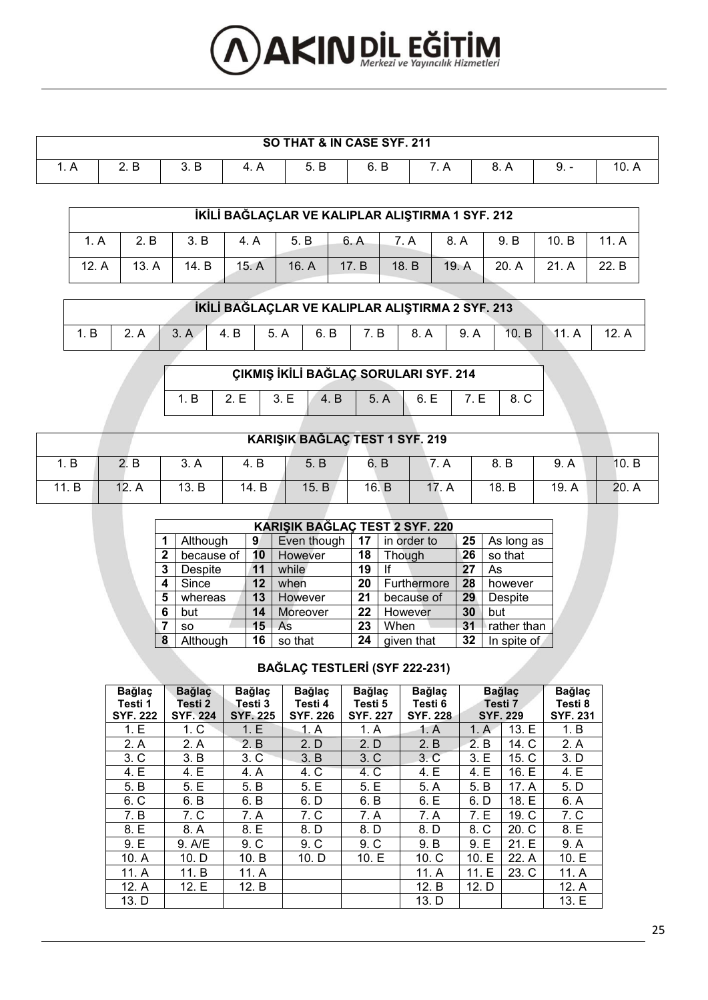# **AXIN DIL EĞİTİM**

|                              | SO THAT & IN CASE SYF. 211 |      |  |                |      |  |      |         |       |  |  |  |
|------------------------------|----------------------------|------|--|----------------|------|--|------|---------|-------|--|--|--|
| $\overline{\phantom{a}}$ . A | 2 R<br>_. _                | 3. B |  | . B<br>∽<br>J. | 6. B |  | 8. A | -<br>J. | 10. A |  |  |  |

|       |       |       |       | İKİLİ BAĞLAÇLAR VE KALIPLAR ALIŞTIRMA 1 SYF. 212 |       |       |       |       |       |       |
|-------|-------|-------|-------|--------------------------------------------------|-------|-------|-------|-------|-------|-------|
| 1. A  | 2. B  | 3. B  | 4. A  | 5. B                                             | 6. A  | 7. A  | 8. A  | 9. B  | 10. B |       |
| 12. A | 13. A | 14. B | 15. A | 16. A                                            | 17. B | 18. B | 19. A | 20. A | 21. A | 22. B |

| 10. B   11. A<br>$4. B$ 5.A<br>6. B<br>7. B<br>8. A I<br>9. A<br>3. A<br>12. A | İKİLİ BAĞLAÇLAR VE KALIPLAR ALIŞTIRMA 2 SYF. 213 |  |  |  |  |  |  |  |  |  |  |  |
|--------------------------------------------------------------------------------|--------------------------------------------------|--|--|--|--|--|--|--|--|--|--|--|
|                                                                                |                                                  |  |  |  |  |  |  |  |  |  |  |  |

| $1.B$ 2.E 3.E 4.B 5.A 6.E 7.E 8.C |  |  |  |  |
|-----------------------------------|--|--|--|--|
|                                   |  |  |  |  |

|       | KARIŞIK BAĞLAÇ TEST 1 SYF. 219 |       |       |       |       |    |       |       |       |  |  |
|-------|--------------------------------|-------|-------|-------|-------|----|-------|-------|-------|--|--|
| ⊦. B  | . в                            | 3. A  | 4. B  | 5. B  | 6. B  |    | 8. B  | 9. A  | 10. B |  |  |
| 11. B | 12.                            | 13. B | 14. B | 15. B | 16. B | 17 | 18. B | 19. A | 20. A |  |  |

|   | <b>KARIŞIK BAĞLAÇ TEST 2 SYF. 220</b> |    |             |    |             |    |             |  |  |  |  |
|---|---------------------------------------|----|-------------|----|-------------|----|-------------|--|--|--|--|
|   | Although                              | 9  | Even though | 17 | in order to | 25 | As long as  |  |  |  |  |
| 2 | because of                            | 10 | However     | 18 | Though      | 26 | so that     |  |  |  |  |
| 3 | Despite                               | 11 | while       | 19 | lf          | 27 | As          |  |  |  |  |
| 4 | Since                                 | 12 | when        | 20 | Furthermore | 28 | however     |  |  |  |  |
| 5 | whereas                               | 13 | However     | 21 | because of  | 29 | Despite     |  |  |  |  |
| 6 | but                                   | 14 | Moreover    | 22 | However     | 30 | but         |  |  |  |  |
|   | SO.                                   | 15 | As          | 23 | When        | 31 | rather than |  |  |  |  |
| 8 | Although                              | 16 | so that     | 24 | given that  | 32 | In spite of |  |  |  |  |

**BAĞLAÇ TESTLERİ (SYF 222-231)** 

| <b>Bağlaç</b><br>Testi 1<br><b>SYF. 222</b> | <b>Bağlaç</b><br>Testi 2<br><b>SYF. 224</b> | Bağlaç<br>Testi 3<br><b>SYF. 225</b> | <b>Bağlaç</b><br>Testi 4<br><b>SYF. 226</b> | <b>Bağlaç</b><br>Testi 5<br><b>SYF. 227</b> | <b>Bağlaç</b><br>Testi 6<br><b>SYF. 228</b> |          | <b>Bağlaç</b><br>Testi 7<br><b>SYF. 229</b> | <b>Bağlaç</b><br>Testi 8<br><b>SYF. 231</b> |
|---------------------------------------------|---------------------------------------------|--------------------------------------|---------------------------------------------|---------------------------------------------|---------------------------------------------|----------|---------------------------------------------|---------------------------------------------|
| 1.E                                         | 1 <sub>c</sub>                              | 1.E                                  | 1. A                                        | 1. A                                        | 1. A                                        | 1. A     | 13.E                                        | 1. B                                        |
| 2. A                                        | 2. A                                        | 2. B                                 | 2. D                                        | 2. D                                        | 2. B                                        | 2.<br>B  | 14. C                                       | 2. A                                        |
| 3. C                                        | 3. B                                        | 3. C                                 | 3. B                                        | 3. C                                        | 3. C                                        | 3.E      | 15. C                                       | 3. D                                        |
| 4. E                                        | 4. E                                        | 4. A                                 | 4. C                                        | 4. C                                        | 4. E                                        | 4. E     | 16. E                                       | 4. E                                        |
| 5. B                                        | 5.E                                         | 5. B                                 | 5.E                                         | 5.E                                         | 5. A                                        | 5. B     | 17. A                                       | 5. D                                        |
| 6. C                                        | 6. B                                        | 6. B                                 | 6. D                                        | 6. B                                        | 6.E                                         | 6. D     | 18. E                                       | 6. A                                        |
| 7. B                                        | 7. C                                        | 7. A                                 | 7. C                                        | 7. A                                        | 7. A                                        | 7. E     | 19. C                                       | 7. C                                        |
| 8. E                                        | 8. A                                        | 8. E                                 | 8. D                                        | 8. D                                        | 8. D                                        | 8. C     | 20. C                                       | 8. E                                        |
| 9.E                                         | 9. A/E                                      | 9 <sub>c</sub>                       | 9C                                          | 9 <sub>c</sub>                              | 9. B                                        | 9.E      | 21.E                                        | 9. A                                        |
| 10. A                                       | 10. D                                       | 10. B                                | 10. D                                       | 10.E                                        | 10 <sub>c</sub>                             | Е<br>10. | 22. A                                       | 10. E                                       |
| 11. A                                       | 11. B                                       | 11. A                                |                                             |                                             | 11. A                                       | Е<br>11. | 23. C                                       | 11. A                                       |
| 12. A                                       | 12.E                                        | 12. B                                |                                             |                                             | 12. B                                       | 12. D    |                                             | 12. A                                       |
| 13. D                                       |                                             |                                      |                                             |                                             | 13. D                                       |          |                                             | 13. E                                       |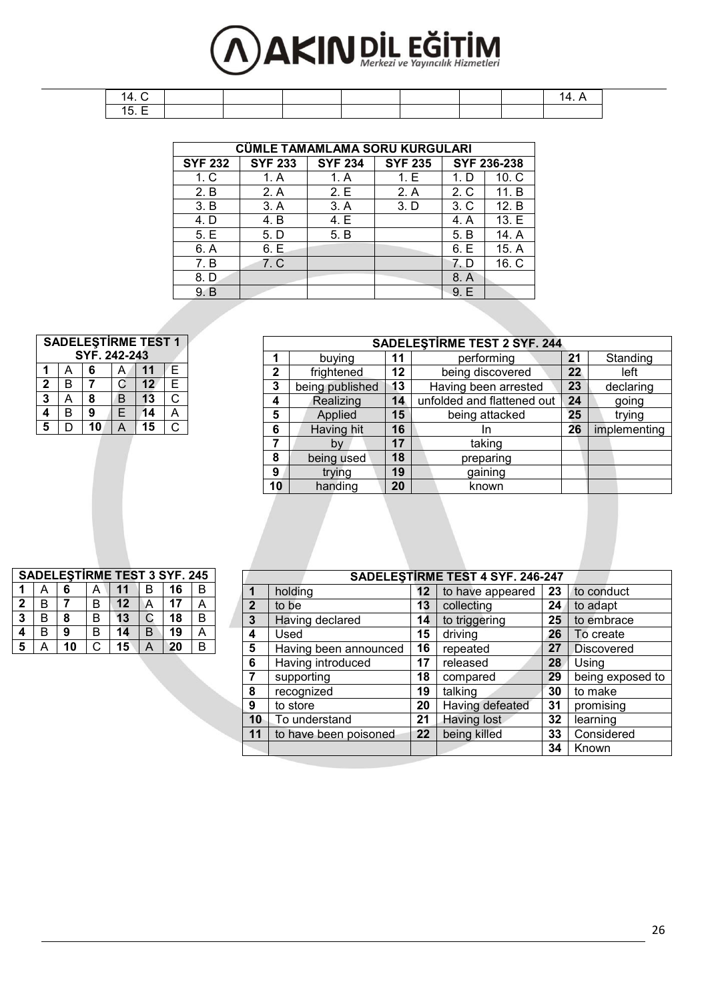# **AKIN DIL EĞİTİM**

|                | CÜMLE TAMAMLAMA SORU KURGULARI |                |                |      |             |  |  |  |  |  |
|----------------|--------------------------------|----------------|----------------|------|-------------|--|--|--|--|--|
| <b>SYF 232</b> | <b>SYF 233</b>                 | <b>SYF 234</b> | <b>SYF 235</b> |      | SYF 236-238 |  |  |  |  |  |
| 1. C           | 1. A                           | 1. A           | 1. E           | 1. D | 10. C       |  |  |  |  |  |
| 2. B           | 2. A                           | 2.E            | 2. A           | 2. C | 11. B       |  |  |  |  |  |
| 3. B           | 3. A                           | 3. A           | 3. D           | 3. C | 12. B       |  |  |  |  |  |
| 4. D           | 4. B                           | 4. E           |                | 4. A | 13. E       |  |  |  |  |  |
| 5.E            | 5. D                           | 5. B           |                | 5. B | 14. A       |  |  |  |  |  |
| 6. A           | 6.E                            |                |                | 6. E | 15. A       |  |  |  |  |  |
| 7. B           | 7. C                           |                |                | 7. D | 16. C       |  |  |  |  |  |
| 8. D           |                                |                |                | 8. A |             |  |  |  |  |  |
| 9. B           |                                |                |                | 9. E |             |  |  |  |  |  |

| Z. B | Z.A  | Z. E | Z.A  | Z. U | H               |
|------|------|------|------|------|-----------------|
| 3. B | 3. A | 3. A | 3. D | 3. C | 12              |
| 4. D | 4. B | 4. E |      | 4. A | 13              |
| 5.E  | 5. D | 5. B |      | 5. B | 14              |
| 6. A | 6.E  |      |      | 6. E | 15              |
| 7. B | 7. C |      |      | 7. D | $\overline{16}$ |
| 8. D |      |      |      | 8. A |                 |
| 9. B |      |      |      | 9.E  |                 |
|      |      |      |      |      |                 |

|              |                 |    | <b>SADELESTIRME TEST 2 SYF. 244</b> |    |              |
|--------------|-----------------|----|-------------------------------------|----|--------------|
|              | buying          | 11 | performing                          | 21 | Standing     |
| $\mathbf{2}$ | frightened      | 12 | being discovered                    | 22 | left         |
| 3            | being published | 13 | Having been arrested                | 23 | declaring    |
| 4            | Realizing       | 14 | unfolded and flattened out          | 24 | going        |
| 5            | Applied         | 15 | being attacked                      | 25 | trying       |
| 6            | Having hit      | 16 | In                                  | 26 | implementing |
|              | bv              | 17 | taking                              |    |              |
| 8            | being used      | 18 | preparing                           |    |              |
| 9            | trying          | 19 | gaining                             |    |              |
| 10           | handing         | 20 | known                               |    |              |

|                 | <b>SADELESTIRME TEST 1</b><br>SYF. 242-243 |    |             |    |    |  |  |  |  |  |  |
|-----------------|--------------------------------------------|----|-------------|----|----|--|--|--|--|--|--|
|                 |                                            | 6  |             |    | Е  |  |  |  |  |  |  |
| $\mathbf{2}$    | B                                          |    | $\mathbf C$ | 12 | E  |  |  |  |  |  |  |
| 3               | А                                          | 8  | B           | 13 | C  |  |  |  |  |  |  |
| 4               | B                                          | 9  | E.          | 14 |    |  |  |  |  |  |  |
| $5\overline{5}$ |                                            | 10 |             | 15 | C. |  |  |  |  |  |  |

|              | <b>SADELESTIRME TEST 3 SYF. 245</b> |    |   |         |              |    |   |  |  |  |
|--------------|-------------------------------------|----|---|---------|--------------|----|---|--|--|--|
|              |                                     | 6  |   |         | в            | 16 | B |  |  |  |
| $\mathbf{2}$ | в                                   |    | в | $12 \,$ | А            | 17 |   |  |  |  |
| 3            | B                                   | 8  | В | 13      | $\mathbb{C}$ | 18 | В |  |  |  |
| 4            | в                                   | 9  | В | 14      | B            | 19 |   |  |  |  |
| 5            |                                     | 10 |   | 15      |              | 20 | В |  |  |  |

|                |                       |    | SADELESTIRME TEST 4 SYF. 246-247 |    |                   |
|----------------|-----------------------|----|----------------------------------|----|-------------------|
| 1              | holding               | 12 | to have appeared                 | 23 | to conduct        |
| $\overline{2}$ | to be                 | 13 | collecting                       | 24 | to adapt          |
| $\mathbf{3}$   | Having declared       | 14 | to triggering                    | 25 | to embrace        |
| 4              | Used                  | 15 | driving                          | 26 | To create         |
| 5              | Having been announced | 16 | repeated                         | 27 | <b>Discovered</b> |
| 6              | Having introduced     | 17 | released                         | 28 | Using             |
|                | supporting            | 18 | compared                         | 29 | being exposed to  |
| 8              | recognized            | 19 | talking                          | 30 | to make           |
| 9              | to store              | 20 | Having defeated                  | 31 | promising         |
| 10             | To understand         | 21 | <b>Having lost</b>               | 32 | learning          |
| 11             | to have been poisoned | 22 | being killed                     | 33 | Considered        |
|                |                       |    |                                  | 34 | Known             |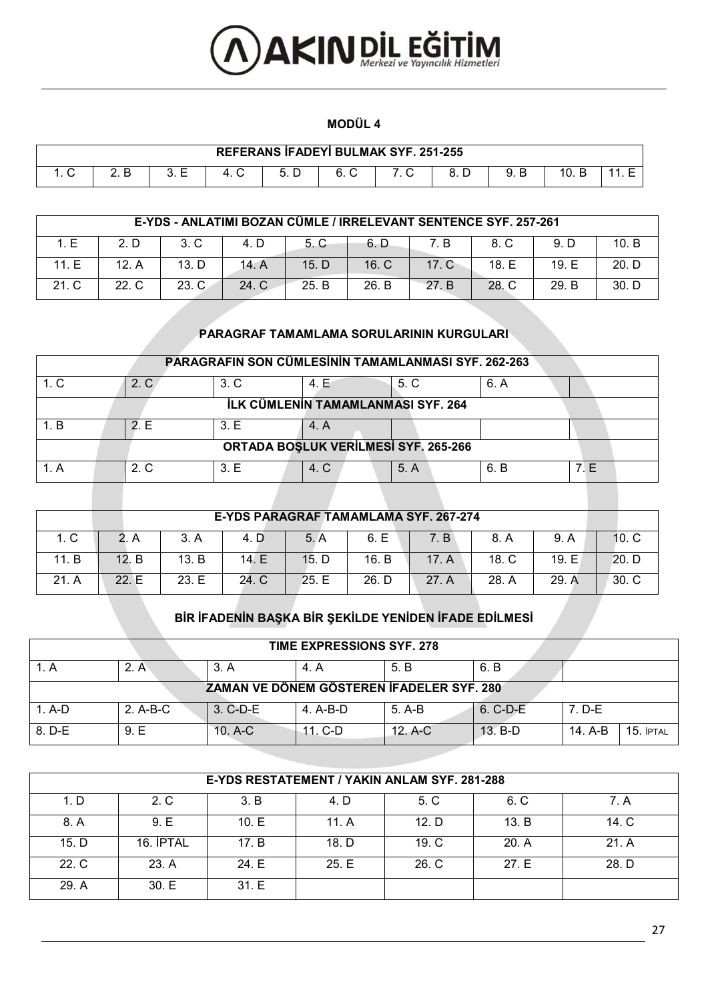

#### **MODÜL 4**

| REFERANS İFADEYİ BULMAK SYF. 251-255 |  |                          |  |  |  |  |  |  |     |  |
|--------------------------------------|--|--------------------------|--|--|--|--|--|--|-----|--|
|                                      |  | $\overline{\phantom{0}}$ |  |  |  |  |  |  | 10. |  |

|       | E-YDS - ANLATIMI BOZAN CÜMLE / IRRELEVANT SENTENCE SYF. 257-261 |       |       |       |       |       |       |       |         |  |
|-------|-----------------------------------------------------------------|-------|-------|-------|-------|-------|-------|-------|---------|--|
| 1. E  | 2. D                                                            | 3. C  | 4. D  | 5. C  | 6. D  | 7. B  | 8. C  | 9. D  | 10. $B$ |  |
| 11. E | 12. A                                                           | 13. D | 14. A | 15. D | 16. C | 17. C | 18. E | 19. E | 20. D   |  |
| 21. C | $22\,C$                                                         | 23. C | 24. C | 25. B | 26. B | 27. B | 28. C | 29. B | 30. D   |  |

#### **PARAGRAF TAMAMLAMA SORULARININ KURGULARI**

| PARAGRAFIN SON CÜMLESININ TAMAMLANMASI SYF. 262-263 |                                      |                |      |      |      |     |  |  |  |  |  |
|-----------------------------------------------------|--------------------------------------|----------------|------|------|------|-----|--|--|--|--|--|
| 1. C                                                | 2. C                                 | 3 <sub>c</sub> | 4. E | 5. C | 6. A |     |  |  |  |  |  |
|                                                     | İLK CÜMLENIN TAMAMLANMASI SYF. 264   |                |      |      |      |     |  |  |  |  |  |
| 1. B                                                | 2 F                                  | 3.E            | 4. A |      |      |     |  |  |  |  |  |
|                                                     | ORTADA BOŞLUK VERİLMESİ SYF. 265-266 |                |      |      |      |     |  |  |  |  |  |
|                                                     | $2\,C$                               | 3.E            | 4. C | 5. A | 6. B | 7 E |  |  |  |  |  |

| E-YDS PARAGRAF TAMAMLAMA SYF. 267-274 |       |       |       |       |       |       |       |       |                 |  |
|---------------------------------------|-------|-------|-------|-------|-------|-------|-------|-------|-----------------|--|
| 1. C                                  |       | 3. A  | 4. D  | 5. A  | 6. E  | 7. B  | 8. A  | 9. A  | 10 <sub>c</sub> |  |
| 11. B                                 | 12. B | 13. B | 14. E | 15. D | 16. B | 17. A | 18. C | 19.E  | 20. D           |  |
| 21. A                                 | 22. F | 23.E  | 24. C | 25.E  | 26. D | 27. A | 28. A | 29. A | $301$ C         |  |

# **BİR İFADENİN BAŞKA BİR ŞEKİLDE YENİDEN İFADE EDİLMESİ**

| <b>TIME EXPRESSIONS SYF. 278</b> |          |           |            |                                           |            |                        |  |  |  |  |  |
|----------------------------------|----------|-----------|------------|-------------------------------------------|------------|------------------------|--|--|--|--|--|
|                                  | 2. A     | 3. A      | 4. A       | .5. B                                     | 6. B       |                        |  |  |  |  |  |
|                                  |          |           |            | ZAMAN VE DÖNEM GÖSTEREN İFADELER SYF. 280 |            |                        |  |  |  |  |  |
| $1. A-D$                         | 2. A-B-C | 3. C-D-E  | $4. A-B-D$ | 5. A-B                                    | $6. C-D-E$ | 7. D-E                 |  |  |  |  |  |
| 8. D-E                           | 9.E      | $10. A-C$ | $11. C-D$  | $12. A-C$                                 | $13. B-D$  | 14. A-B<br>$15.$ iptal |  |  |  |  |  |

|       | E-YDS RESTATEMENT / YAKIN ANLAM SYF. 281-288 |       |       |                 |       |       |  |  |  |  |  |
|-------|----------------------------------------------|-------|-------|-----------------|-------|-------|--|--|--|--|--|
| 1. D  | 2. C                                         | 3. B  | 4. D  | 5. C            | 6. C  | 7. A  |  |  |  |  |  |
| 8. A  | 9.E                                          | 10.E  | 11. A | 12. D           | 13. B | 14. C |  |  |  |  |  |
| 15. D | 16. İPTAL                                    | 17. B | 18. D | 19 <sub>c</sub> | 20. A | 21. A |  |  |  |  |  |
| 22. C | 23. A                                        | 24. E | 25.E  | 26. C           | 27. E | 28. D |  |  |  |  |  |
| 29. A | 30.E                                         | 31.E  |       |                 |       |       |  |  |  |  |  |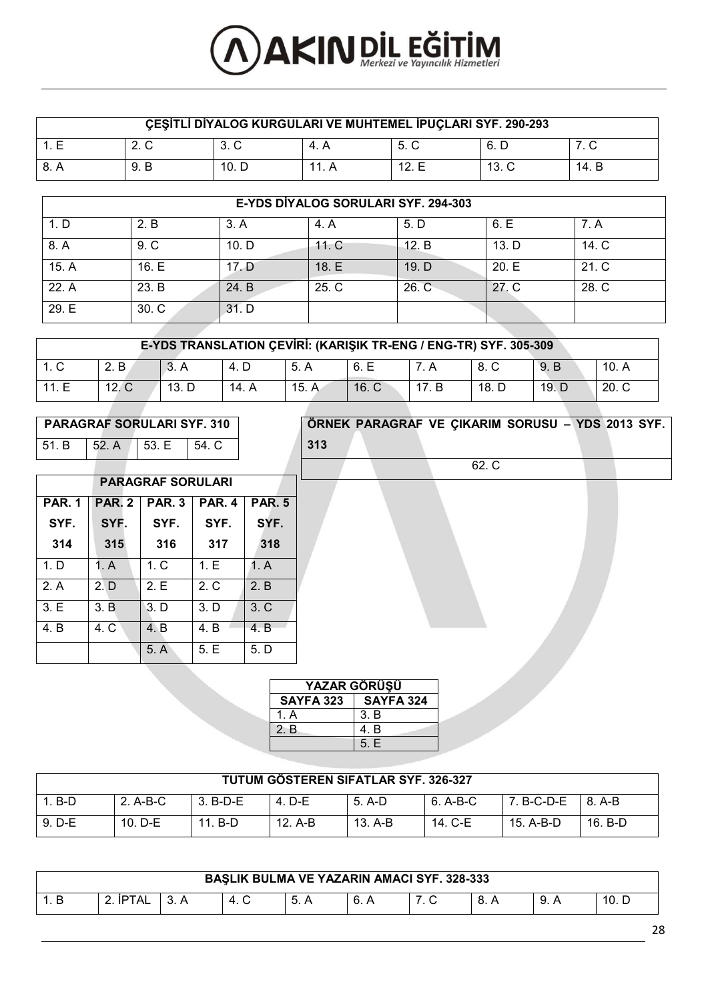# **AXIN DIL EĞİTİM**

| ÇEŞİTLİ DİYALOG KURGULARI VE MUHTEMEL İPUÇLARI SYF. 290-293 |      |       |       |       |                 |       |  |  |
|-------------------------------------------------------------|------|-------|-------|-------|-----------------|-------|--|--|
| 1 F                                                         | 2. C | 3. C  | 4. A  | 5. C  | 6. D            |       |  |  |
| -8. A                                                       | 9. B | 10. D | 11. A | 12. E | 13 <sub>c</sub> | 14. B |  |  |

|       | E-YDS DIYALOG SORULARI SYF. 294-303 |       |       |       |       |       |  |  |  |  |  |
|-------|-------------------------------------|-------|-------|-------|-------|-------|--|--|--|--|--|
| 1. D  | 2. B                                | 3. A  | 4. A  | 5. D  | 6.E   | 7. A  |  |  |  |  |  |
| 8. A  | 9 <sub>c</sub>                      | 10. D | 11. C | 12. B | 13. D | 14. C |  |  |  |  |  |
| 15. A | 16. E                               | 17. D | 18. E | 19. D | 20.E  | 21. C |  |  |  |  |  |
| 22. A | 23. B                               | 24. B | 25. C | 26. C | 27. C | 28. C |  |  |  |  |  |
| 29. E | 30. C                               | 31. D |       |       |       |       |  |  |  |  |  |

| E-YDS TRANSLATION CEVIRI: (KARISIK TR-ENG / ENG-TR) SYF. 305-309 |       |       |       |       |       |  |        |       |       |  |
|------------------------------------------------------------------|-------|-------|-------|-------|-------|--|--------|-------|-------|--|
| 1. C                                                             | 2. B  |       | 4. D  | -5. A | -6. E |  | - 8. C | 9. B  | 10. A |  |
| 11.E                                                             | 12. C | 13. D | 14. A | 15. A | 16. C |  | 18. D  | 19. D | 20. C |  |

# **PARAGRAF SORULARI SYF. 310** 51. B 52. A 53. E 54. C

|               |               | <b>PARAGRAF SORULARI</b>                 |                |      |  |  |  |  |
|---------------|---------------|------------------------------------------|----------------|------|--|--|--|--|
| <b>PAR. 1</b> | <b>PAR. 2</b> | <b>PAR. 5</b><br><b>PAR. 3</b><br>PAR. 4 |                |      |  |  |  |  |
| SYF.          | SYF.          | SYF.                                     | SYF.           | SYF. |  |  |  |  |
| 314           | 315           | 316                                      | 317            | 318  |  |  |  |  |
| 1. D          | 1. A          | 1 <sub>c</sub>                           | 1.E            | 1. A |  |  |  |  |
| 2. A          | 2. D          | 2.E                                      | 2 <sub>c</sub> | 2. B |  |  |  |  |
| 3.E           | 3. B          | 3. D                                     | 3. D           | 3. C |  |  |  |  |
| 4. B          | 4. C          | 4. B                                     | 4. B           | 4. B |  |  |  |  |
|               |               | 5. A                                     | 5.E            | 5. D |  |  |  |  |

# **ÖRNEK PARAGRAF VE ÇIKARIM SORUSU – YDS 2013 SYF. 313** 62. C

| <b>YAZAR GÖRÜSÜ</b> |                  |  |  |  |  |  |  |  |  |  |  |
|---------------------|------------------|--|--|--|--|--|--|--|--|--|--|
| SAYFA 323           | <b>SAYFA 324</b> |  |  |  |  |  |  |  |  |  |  |
| 1. A                | 3. B             |  |  |  |  |  |  |  |  |  |  |
| 2. B                | 4. B             |  |  |  |  |  |  |  |  |  |  |
|                     | 5.E              |  |  |  |  |  |  |  |  |  |  |

| TUTUM GÖSTEREN SIFATLAR SYF. 326-327 |           |          |         |         |          |                           |           |  |  |
|--------------------------------------|-----------|----------|---------|---------|----------|---------------------------|-----------|--|--|
| $1. B-D$                             | 2. A-B-C  | 3. B-D-E | 4. D-E  | 5. A-D  | 6. A-B-C | 7. B-C-D-E $\vert$ 8. A-B |           |  |  |
| $9. D-E$                             | $10. D-E$ | 11. B-D  | 12. A-B | 13. A-B | 14. C-E  | 15. A-B-D                 | $16. B-D$ |  |  |

| <b>BASLIK BULMA VE YAZARIN AMACI SYF. 328-333</b> |                      |  |  |  |     |  |      |      |       |
|---------------------------------------------------|----------------------|--|--|--|-----|--|------|------|-------|
|                                                   | TAL<br>$\sim$<br>IPT |  |  |  | 6.6 |  | 8. A | 9. A | 10. ∟ |